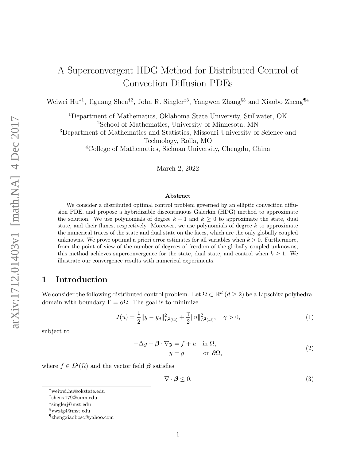# A Superconvergent HDG Method for Distributed Control of Convection Diffusion PDEs

Weiwei Hu<sup>∗1</sup>, Jiguang Shen<sup>†2</sup>, John R. Singler<sup>‡3</sup>, Yangwen Zhang<sup>§3</sup> and Xiaobo Zheng¶<sup>4</sup>

<sup>1</sup>Department of Mathematics, Oklahoma State University, Stillwater, OK <sup>2</sup>School of Mathematics, University of Minnesota, MN

<sup>3</sup>Department of Mathematics and Statistics, Missouri University of Science and Technology, Rolla, MO

<sup>4</sup>College of Mathematics, Sichuan University, Chengdu, China

March 2, 2022

#### Abstract

We consider a distributed optimal control problem governed by an elliptic convection diffusion PDE, and propose a hybridizable discontinuous Galerkin (HDG) method to approximate the solution. We use polynomials of degree  $k + 1$  and  $k \geq 0$  to approximate the state, dual state, and their fluxes, respectively. Moreover, we use polynomials of degree  $k$  to approximate the numerical traces of the state and dual state on the faces, which are the only globally coupled unknowns. We prove optimal a priori error estimates for all variables when  $k > 0$ . Furthermore, from the point of view of the number of degrees of freedom of the globally coupled unknowns, this method achieves superconvergence for the state, dual state, and control when  $k \geq 1$ . We illustrate our convergence results with numerical experiments.

# 1 Introduction

We consider the following distributed control problem. Let  $\Omega \subset \mathbb{R}^d$   $(d \geq 2)$  be a Lipschitz polyhedral domain with boundary  $\Gamma = \partial \Omega$ . The goal is to minimize

$$
J(u) = \frac{1}{2} ||y - y_d||_{L^2(\Omega)}^2 + \frac{\gamma}{2} ||u||_{L^2(\Omega)}^2, \quad \gamma > 0,
$$
\n(1)

subject to

 $-\Delta y + \beta \cdot \nabla y = f + u \quad \text{in } \Omega,$  $y = q$  on  $\partial\Omega$ , (2)

where  $f \in L^2(\Omega)$  and the vector field  $\beta$  satisfies

 $\nabla \cdot \boldsymbol{\beta} \leq 0.$ (3)

<sup>∗</sup>weiwei.hu@okstate.edu

<sup>†</sup> shenx179@umn.edu

<sup>‡</sup> singlerj@mst.edu

<sup>§</sup> ywzfg4@mst.edu

<sup>¶</sup> zhengxiaobosc@yahoo.com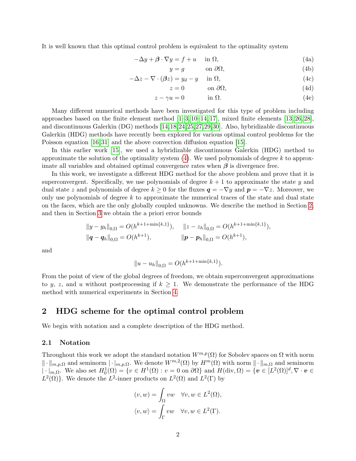It is well known that this optimal control problem is equivalent to the optimality system

$$
-\Delta y + \beta \cdot \nabla y = f + u \quad \text{in } \Omega,\tag{4a}
$$

<span id="page-1-0"></span>
$$
y = g \qquad \text{on } \partial\Omega,\tag{4b}
$$

$$
-\Delta z - \nabla \cdot (\beta z) = y_d - y \quad \text{in } \Omega,
$$
\n(4c)

<span id="page-1-3"></span><span id="page-1-2"></span>
$$
z = 0 \qquad \text{on } \partial\Omega,\tag{4d}
$$

$$
z - \gamma u = 0 \qquad \qquad \text{in } \Omega. \tag{4e}
$$

Many different numerical methods have been investigated for this type of problem including approaches based on the finite element method  $[1-3, 10-14, 17]$  $[1-3, 10-14, 17]$  $[1-3, 10-14, 17]$  $[1-3, 10-14, 17]$  $[1-3, 10-14, 17]$ , mixed finite elements  $[13, 26, 28]$  $[13, 26, 28]$  $[13, 26, 28]$ , and discontinuous Galerkin (DG) methods [\[14,](#page-20-1)[18,](#page-20-4)[24,](#page-21-2)[25,](#page-21-3)[27,](#page-21-4)[29,](#page-21-5)[30\]](#page-21-6). Also, hybridizable discontinuous Galerkin (HDG) methods have recently been explored for various optimal control problems for the Poisson equation [\[16,](#page-20-5) [31\]](#page-21-7) and the above convection diffusion equation [\[15\]](#page-20-6).

In this earlier work [\[15\]](#page-20-6), we used a hybridizable discontinuous Galerkin (HDG) method to approximate the solution of the optimality system  $(4)$ . We used polynomials of degree k to approximate all variables and obtained optimal convergence rates when  $\beta$  is divergence free.

In this work, we investigate a different HDG method for the above problem and prove that it is superconvergent. Specifically, we use polynomials of degree  $k + 1$  to approximate the state y and dual state z and polynomials of degree  $k \geq 0$  for the fluxes  $q = -\nabla y$  and  $p = -\nabla z$ . Moreover, we only use polynomials of degree  $k$  to approximate the numerical traces of the state and dual state on the faces, which are the only globally coupled unknowns. We describe the method in Section [2,](#page-1-1) and then in Section [3](#page-3-0) we obtain the a priori error bounds

$$
||y - y_h||_{0,\Omega} = O(h^{k+1+\min\{k,1\}}), \quad ||z - z_h||_{0,\Omega} = O(h^{k+1+\min\{k,1\}}),
$$
  

$$
||\boldsymbol{q} - \boldsymbol{q}_h||_{0,\Omega} = O(h^{k+1}), \quad ||\boldsymbol{p} - \boldsymbol{p}_h||_{0,\Omega} = O(h^{k+1}),
$$

and

$$
||u - u_h||_{0,\Omega} = O(h^{k+1+\min\{k,1\}}).
$$

From the point of view of the global degrees of freedom, we obtain superconvergent approximations to y, z, and u without postprocessing if  $k \geq 1$ . We demonstrate the performance of the HDG method with numerical experiments in Section [4.](#page-17-0)

# <span id="page-1-1"></span>2 HDG scheme for the optimal control problem

We begin with notation and a complete description of the HDG method.

### 2.1 Notation

Throughout this work we adopt the standard notation  $W^{m,p}(\Omega)$  for Sobolev spaces on  $\Omega$  with norm  $\|\cdot\|_{m,p,\Omega}$  and seminorm  $|\cdot|_{m,p,\Omega}$ . We denote  $W^{m,2}(\Omega)$  by  $H^m(\Omega)$  with norm  $\|\cdot\|_{m,\Omega}$  and seminorm  $|\cdot|_{m,\Omega}$ . We also set  $H_0^1(\Omega) = \{v \in H^1(\Omega) : v = 0 \text{ on } \partial\Omega\}$  and  $H(\text{div}, \Omega) = \{v \in [L^2(\Omega)]^d, \nabla \cdot v \in \Omega\}$  $L^2(\Omega)$ . We denote the  $L^2$ -inner products on  $L^2(\Omega)$  and  $L^2(\Gamma)$  by

$$
(v, w) = \int_{\Omega} vw \quad \forall v, w \in L^{2}(\Omega),
$$
  

$$
\langle v, w \rangle = \int_{\Gamma} vw \quad \forall v, w \in L^{2}(\Gamma).
$$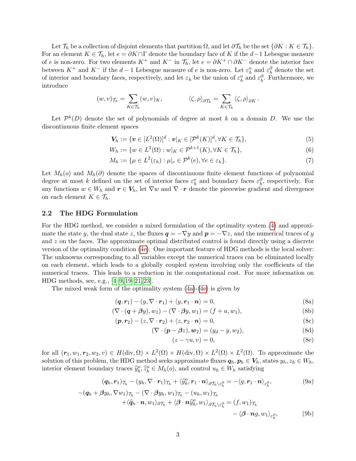Let  $\mathcal{T}_h$  be a collection of disjoint elements that partition  $\Omega$ , and let  $\partial \mathcal{T}_h$  be the set  $\{\partial K : K \in \mathcal{T}_h\}$ . For an element  $K \in \mathcal{T}_h$ , let  $e = \partial K \cap \Gamma$  denote the boundary face of K if the  $d-1$  Lebesgue measure of e is non-zero. For two elements  $K^+$  and  $K^-$  in  $\mathcal{T}_h$ , let  $e = \partial K^+ \cap \partial K^-$  denote the interior face between  $K^+$  and  $K^-$  if the  $d-1$  Lebesgue measure of e is non-zero. Let  $\varepsilon_h^o$  and  $\varepsilon_h^{\partial}$  denote the set of interior and boundary faces, respectively, and let  $\varepsilon_h$  be the union of  $\varepsilon_h^o$  and  $\varepsilon_h^{\partial}$ . Furthermore, we introduce

$$
(w,v)_{\mathcal{T}_h} = \sum_{K \in \mathcal{T}_h} (w,v)_K, \qquad \langle \zeta, \rho \rangle_{\partial \mathcal{T}_h} = \sum_{K \in \mathcal{T}_h} \langle \zeta, \rho \rangle_{\partial K}.
$$

Let  $\mathcal{P}^k(D)$  denote the set of polynomials of degree at most k on a domain D. We use the discontinuous finite element spaces

$$
\mathbf{V}_h := \{ \mathbf{v} \in [L^2(\Omega)]^d : \mathbf{v}|_K \in [\mathcal{P}^k(K)]^d, \forall K \in \mathcal{T}_h \},\tag{5}
$$

$$
W_h := \{ w \in L^2(\Omega) : w|_K \in \mathcal{P}^{k+1}(K), \forall K \in \mathcal{T}_h \},\tag{6}
$$

$$
M_h := \{ \mu \in L^2(\varepsilon_h) : \mu|_e \in \mathcal{P}^k(e), \forall e \in \varepsilon_h \}. \tag{7}
$$

Let  $M_h(o)$  and  $M_h(\partial)$  denote the spaces of discontinuous finite element functions of polynomial degree at most k defined on the set of interior faces  $\varepsilon_h^o$  and boundary faces  $\varepsilon_h^{\partial}$ , respectively. For any functions  $w \in W_h$  and  $r \in V_h$ , let  $\nabla w$  and  $\nabla \cdot r$  denote the piecewise gradient and divergence on each element  $K \in \mathcal{T}_h$ .

#### 2.2 The HDG Formulation

For the HDG method, we consider a mixed formulation of the optimality system [\(4\)](#page-1-0) and approximate the state y, the dual state z, the fluxes  $q = -\nabla y$  and  $p = -\nabla z$ , and the numerical traces of y and z on the faces. The approximate optimal distributed control is found directly using a discrete version of the optimality condition [\(4e\)](#page-1-2). One important feature of HDG methods is the local solver: The unknowns corresponding to all variables except the numerical traces can be eliminated locally on each element, which leads to a globally coupled system involving only the coefficients of the numerical traces. This leads to a reduction in the computational cost. For more information on HDG methods, see, e.g., [\[4](#page-19-2)[–9,](#page-20-7) [19–](#page-20-8)[21,](#page-20-9) [23\]](#page-21-8).

The mixed weak form of the optimality system [\(4a\)](#page-1-3)-[\(4e\)](#page-1-2) is given by

$$
(\boldsymbol{q}, \boldsymbol{r}_1) - (y, \nabla \cdot \boldsymbol{r}_1) + \langle y, \boldsymbol{r}_1 \cdot \boldsymbol{n} \rangle = 0, \tag{8a}
$$

$$
(\nabla \cdot (\boldsymbol{q} + \beta y), w_1) - (\nabla \cdot \beta y, w_1) = (f + u, w_1),
$$
\n(8b)

$$
(\boldsymbol{p}, \boldsymbol{r}_2) - (z, \nabla \cdot \boldsymbol{r}_2) + \langle z, \boldsymbol{r}_2 \cdot \boldsymbol{n} \rangle = 0, \tag{8c}
$$

$$
(\nabla \cdot (\boldsymbol{p} - \beta z), \boldsymbol{w}_2) = (y_d - y, w_2), \tag{8d}
$$

<span id="page-2-2"></span><span id="page-2-1"></span><span id="page-2-0"></span>
$$
(z - \gamma u, v) = 0,\t\t(8e)
$$

for all  $(r_1, w_1, r_2, w_2, v) \in H(\text{div}, \Omega) \times L^2(\Omega) \times H(\text{div}, \Omega) \times L^2(\Omega) \times L^2(\Omega)$ . To approximate the solution of this problem, the HDG method seeks approximate fluxes  $q_h, p_h \in V_h$ , states  $y_h, z_h \in W_h$ , interior element boundary traces  $\widehat{y}_h^o, \widehat{z}_h^o \in M_h(o)$ , and control  $u_h \in W_h$  satisfying

$$
(\boldsymbol{q}_h, \boldsymbol{r}_1)_{\mathcal{T}_h} - (y_h, \nabla \cdot \boldsymbol{r}_1)_{\mathcal{T}_h} + \langle \widehat{y}_h^o, \boldsymbol{r}_1 \cdot \boldsymbol{n} \rangle_{\partial \mathcal{T}_h \setminus \varepsilon_h^{\partial}} = -\langle g, \boldsymbol{r}_1 \cdot \boldsymbol{n} \rangle_{\varepsilon_h^{\partial}}, \tag{9a}
$$

$$
-(\mathbf{q}_h + \beta y_h, \nabla w_1)_{\mathcal{T}_h} - (\nabla \cdot \beta y_h, w_1)_{\mathcal{T}_h} - (u_h, w_1)_{\mathcal{T}_h} + \langle \widehat{\mathbf{q}}_h \cdot \mathbf{n}, w_1 \rangle_{\partial \mathcal{T}_h} + \langle \boldsymbol{\beta} \cdot \mathbf{n} \widehat{y}_h^o, w_1 \rangle_{\partial \mathcal{T}_h \setminus \varepsilon_h^{\partial}} = (f, w_1)_{\mathcal{T}_h} - \langle \boldsymbol{\beta} \cdot \mathbf{n} g, w_1 \rangle_{\varepsilon_h^{\partial}},
$$
(9b)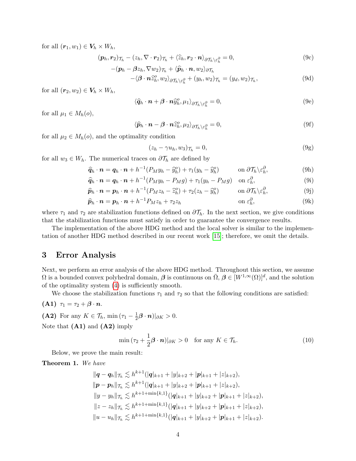for all  $(r_1, w_1) \in V_h \times W_h$ ,

$$
(\boldsymbol{p}_h, \boldsymbol{r}_2)_{\mathcal{T}_h} - (z_h, \nabla \cdot \boldsymbol{r}_2)_{\mathcal{T}_h} + \langle \widehat{z}_h, \boldsymbol{r}_2 \cdot \boldsymbol{n} \rangle_{\partial \mathcal{T}_h \setminus \varepsilon_h^{\partial}} = 0, \tag{9c}
$$

$$
-(\boldsymbol{p}_h - \boldsymbol{\beta} z_h, \nabla w_2)\tau_h + \langle \widehat{\boldsymbol{p}}_h \cdot \boldsymbol{n}, w_2 \rangle_{\partial \mathcal{T}_h} -\langle \boldsymbol{\beta} \cdot \boldsymbol{n} \widehat{z}_h^o, w_2 \rangle_{\partial \mathcal{T}_h \setminus \varepsilon_h^{\partial}} + (y_h, w_2)\tau_h = (y_d, w_2)\tau_h,
$$
(9d)

for all  $(r_2, w_2) \in V_h \times W_h$ ,

$$
\langle \widehat{\boldsymbol{q}}_h \cdot \boldsymbol{n} + \boldsymbol{\beta} \cdot \boldsymbol{n} \widehat{y}_h^o, \mu_1 \rangle_{\partial \mathcal{T}_h \setminus \varepsilon_h^{\partial}} = 0, \tag{9e}
$$

for all  $\mu_1 \in M_h(o)$ ,

$$
\langle \widehat{\boldsymbol{p}}_h \cdot \boldsymbol{n} - \boldsymbol{\beta} \cdot \boldsymbol{n} \widehat{z}_h^o, \mu_2 \rangle_{\partial \mathcal{T}_h \setminus \varepsilon_h^o} = 0, \tag{9f}
$$

for all  $\mu_2 \in M_h(o)$ , and the optimality condition

$$
(z_h - \gamma u_h, w_3)_{\mathcal{T}_h} = 0,\t\t(9g)
$$

for all  $w_3 \in W_h$ . The numerical traces on  $\partial \mathcal{T}_h$  are defined by

$$
\widehat{q}_h \cdot \boldsymbol{n} = \boldsymbol{q}_h \cdot \boldsymbol{n} + h^{-1} (P_M y_h - \widehat{y}_h^o) + \tau_1 (y_h - \widehat{y}_h^o) \qquad \text{on } \partial \mathcal{T}_h \backslash \varepsilon_h^o,
$$
\n(9h)

$$
\widehat{\boldsymbol{q}}_h \cdot \boldsymbol{n} = \boldsymbol{q}_h \cdot \boldsymbol{n} + h^{-1} (P_M y_h - P_M g) + \tau_1 (y_h - P_M g) \quad \text{on } \varepsilon_h^{\partial}, \tag{9i}
$$

$$
\widehat{\boldsymbol{p}}_h \cdot \boldsymbol{n} = \boldsymbol{p}_h \cdot \boldsymbol{n} + h^{-1} (P_M z_h - \widehat{z}_h^o) + \tau_2 (z_h - \widehat{y}_h^o) \qquad \text{on } \partial \mathcal{T}_h \backslash \varepsilon_h^{\partial}, \tag{9}
$$

$$
\widehat{\boldsymbol{p}}_h \cdot \boldsymbol{n} = \boldsymbol{p}_h \cdot \boldsymbol{n} + h^{-1} P_M z_h + \tau_2 z_h \qquad \text{on } \varepsilon_h^{\partial}, \qquad (9k)
$$

where  $\tau_1$  and  $\tau_2$  are stabilization functions defined on  $\partial \mathcal{T}_h$ . In the next section, we give conditions that the stabilization functions must satisfy in order to guarantee the convergence results.

The implementation of the above HDG method and the local solver is similar to the implementation of another HDG method described in our recent work [\[15\]](#page-20-6); therefore, we omit the details.

# <span id="page-3-0"></span>3 Error Analysis

Next, we perform an error analysis of the above HDG method. Throughout this section, we assume  $\Omega$  is a bounded convex polyhedral domain,  $\beta$  is continuous on  $\overline{\Omega}$ ,  $\beta \in [W^{1,\infty}(\Omega)]^d$ , and the solution of the optimality system [\(4\)](#page-1-0) is sufficiently smooth.

We choose the stabilization functions  $\tau_1$  and  $\tau_2$  so that the following conditions are satisfied:

$$
(\mathbf{A1}) \ \ \tau_1 = \tau_2 + \boldsymbol{\beta} \cdot \boldsymbol{n}.
$$

(A2) For any  $K \in \mathcal{T}_h$ , min  $(\tau_1 - \frac{1}{2})$  $\frac{1}{2} \boldsymbol{\beta} \cdot \boldsymbol{n} )|_{\partial K} > 0.$ 

Note that  $(A1)$  and  $(A2)$  imply

<span id="page-3-1"></span>
$$
\min(\tau_2 + \frac{1}{2}\boldsymbol{\beta} \cdot \boldsymbol{n})|_{\partial K} > 0 \quad \text{for any } K \in \mathcal{T}_h.
$$
 (10)

Below, we prove the main result:

Theorem 1. We have

$$
||\mathbf{q} - \mathbf{q}_h||_{\mathcal{T}_h} \lesssim h^{k+1}(|\mathbf{q}|_{k+1} + |y|_{k+2} + |\mathbf{p}|_{k+1} + |z|_{k+2}),
$$
  
\n
$$
||\mathbf{p} - \mathbf{p}_h||_{\mathcal{T}_h} \lesssim h^{k+1}(|\mathbf{q}|_{k+1} + |y|_{k+2} + |\mathbf{p}|_{k+1} + |z|_{k+2}),
$$
  
\n
$$
||y - y_h||_{\mathcal{T}_h} \lesssim h^{k+1+\min\{k,1\}}(|\mathbf{q}|_{k+1} + |y|_{k+2} + |\mathbf{p}|_{k+1} + |z|_{k+2}),
$$
  
\n
$$
||z - z_h||_{\mathcal{T}_h} \lesssim h^{k+1+\min\{k,1\}}(|\mathbf{q}|_{k+1} + |y|_{k+2} + |\mathbf{p}|_{k+1} + |z|_{k+2}),
$$
  
\n
$$
||u - u_h||_{\mathcal{T}_h} \lesssim h^{k+1+\min\{k,1\}}(|\mathbf{q}|_{k+1} + |y|_{k+2} + |\mathbf{p}|_{k+1} + |z|_{k+2}).
$$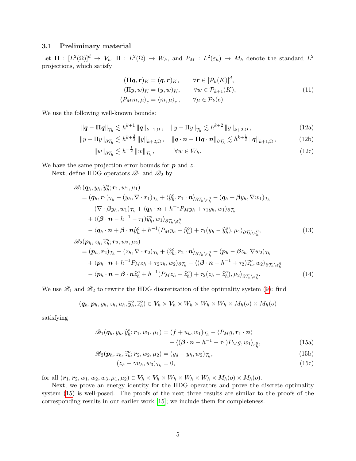#### 3.1 Preliminary material

Let  $\Pi : [L^2(\Omega)]^d \to V_h$ ,  $\Pi : L^2(\Omega) \to W_h$ , and  $P_M : L^2(\varepsilon_h) \to M_h$  denote the standard  $L^2$ projections, which satisfy

$$
(\Pi q, r)_K = (q, r)_K, \qquad \forall r \in [\mathcal{P}_k(K)]^d,
$$
  
\n
$$
(\Pi y, w)_K = (y, w)_K, \qquad \forall w \in \mathcal{P}_{k+1}(K),
$$
  
\n
$$
\langle P_M m, \mu \rangle_e = \langle m, \mu \rangle_e, \qquad \forall \mu \in \mathcal{P}_k(e).
$$
\n(11)

<span id="page-4-5"></span>We use the following well-known bounds:

$$
\|\mathbf{q} - \mathbf{\Pi}\mathbf{q}\|_{\mathcal{T}_h} \lesssim h^{k+1} \|\mathbf{q}\|_{k+1,\Omega}, \quad \|y - \Pi y\|_{\mathcal{T}_h} \lesssim h^{k+2} \|y\|_{k+2,\Omega}, \tag{12a}
$$

$$
\|y - \Pi y\|_{\partial \mathcal{T}_h} \lesssim h^{k + \frac{3}{2}} \|y\|_{k+2,\Omega}, \quad \|q \cdot \mathbf{n} - \Pi q \cdot \mathbf{n}\|_{\partial \mathcal{T}_h} \lesssim h^{k + \frac{1}{2}} \|q\|_{k+1,\Omega}, \tag{12b}
$$

$$
||w||_{\partial \mathcal{T}_h} \lesssim h^{-\frac{1}{2}} ||w||_{\mathcal{T}_h}, \qquad \forall w \in W_h.
$$
 (12c)

We have the same projection error bounds for  $p$  and  $z$ .

Next, define HDG operators  $\mathcal{B}_1$  and  $\mathcal{B}_2$  by

$$
\mathscr{B}_{1}(q_{h}, y_{h}, \widehat{y}_{h}^{o}; \mathbf{r}_{1}, w_{1}, \mu_{1})
$$
\n
$$
= (q_{h}, \mathbf{r}_{1})_{\mathcal{T}_{h}} - (y_{h}, \nabla \cdot \mathbf{r}_{1})_{\mathcal{T}_{h}} + \langle \widehat{y}_{h}^{o}, \mathbf{r}_{1} \cdot \mathbf{n} \rangle_{\partial \mathcal{T}_{h} \setminus \varepsilon_{h}^{\partial}} - (q_{h} + \beta y_{h}, \nabla w_{1})_{\mathcal{T}_{h}}
$$
\n
$$
- (\nabla \cdot \beta y_{h}, w_{1})_{\mathcal{T}_{h}} + \langle q_{h} \cdot \mathbf{n} + h^{-1} P_{M} y_{h} + \tau_{1} y_{h}, w_{1} \rangle_{\partial \mathcal{T}_{h}}
$$
\n
$$
+ \langle (\beta \cdot \mathbf{n} - h^{-1} - \tau_{1}) \widehat{y}_{h}^{o}, w_{1} \rangle_{\partial \mathcal{T}_{h} \setminus \varepsilon_{h}^{\partial}}
$$
\n
$$
- \langle q_{h} \cdot \mathbf{n} + \beta \cdot \mathbf{n} \widehat{y}_{h}^{o} + h^{-1} (P_{M} y_{h} - \widehat{y}_{h}^{o}) + \tau_{1} (y_{h} - \widehat{y}_{h}^{o}), \mu_{1} \rangle_{\partial \mathcal{T}_{h} \setminus \varepsilon_{h}^{\partial}},
$$
\n
$$
\mathscr{B}_{2}(\mathbf{p}_{h}, z_{h}, \widehat{z}_{h}^{o}; \mathbf{r}_{2}, w_{2}, \mu_{2})
$$
\n
$$
= (\mathbf{p}_{h}, \mathbf{r}_{2})_{\mathcal{T}_{h}} - (z_{h}, \nabla \cdot \mathbf{r}_{2})_{\mathcal{T}_{h}} + \langle \widehat{z}_{h}^{o}, \mathbf{r}_{2} \cdot \mathbf{n} \rangle_{\partial \mathcal{T}_{h} \setminus \varepsilon_{h}^{\partial}} - (\mathbf{p}_{h} - \beta z_{h}, \nabla w_{2})_{\mathcal{T}_{h}}
$$
\n
$$
+ \langle \mathbf{p}_{h} \cdot \mathbf{n} + h^{-1} P_{M} z_{h} + \tau_{2} z_{h}, w_{2} \rangle_{\partial \mathcal{T}_{h}} - \langle (\beta \cdot \mathbf{n} + h^{-
$$

$$
-\langle \boldsymbol{p}_h \cdot \boldsymbol{n} - \boldsymbol{\beta} \cdot \boldsymbol{n} \hat{z}_h^o + h^{-1} (P_M z_h - \hat{z}_h^o) + \tau_2 (z_h - \hat{z}_h^o), \mu_2 \rangle_{\partial \mathcal{T}_h \setminus \varepsilon_h^o}.
$$
\n(14)

We use  $\mathscr{B}_1$  and  $\mathscr{B}_2$  to rewrite the HDG discretization of the optimality system [\(9\)](#page-2-0): find

<span id="page-4-0"></span>
$$
(\boldsymbol{q}_h, \boldsymbol{p}_h, y_h, z_h, u_h, \widehat{y}_h^o, \widehat{z}_h^o) \in \boldsymbol{V}_h \times \boldsymbol{V}_h \times W_h \times W_h \times W_h \times M_h(o) \times M_h(o)
$$

satisfying

$$
\mathscr{B}_1(\boldsymbol{q}_h, y_h, \widehat{y}_h^o; \boldsymbol{r}_1, w_1, \mu_1) = (f + u_h, w_1) \tau_h - \langle P_M g, \boldsymbol{r}_1 \cdot \boldsymbol{n} \rangle - \langle (\boldsymbol{\beta} \cdot \boldsymbol{n} - h^{-1} - \tau_1) P_M g, w_1 \rangle_{\varepsilon_h^{\partial}},
$$
(15a)

$$
\mathscr{B}_2(\mathbf{p}_h, z_h, \widehat{z}_h^o; \mathbf{r}_2, w_2, \mu_2) = (y_d - y_h, w_2) \mathcal{T}_h,
$$
\n(15b)

<span id="page-4-3"></span><span id="page-4-2"></span><span id="page-4-1"></span>
$$
(z_h - \gamma u_h, w_3)_{\mathcal{T}_h} = 0,\tag{15c}
$$

for all  $(\mathbf{r}_1, \mathbf{r}_2, w_1, w_2, w_3, \mu_1, \mu_2) \in \mathbf{V}_h \times \mathbf{V}_h \times W_h \times W_h \times W_h \times M_h(o) \times M_h(o)$ .

<span id="page-4-4"></span>Next, we prove an energy identity for the HDG operators and prove the discrete optimality system [\(15\)](#page-4-0) is well-posed. The proofs of the next three results are similar to the proofs of the corresponding results in our earlier work [\[15\]](#page-20-6); we include them for completeness.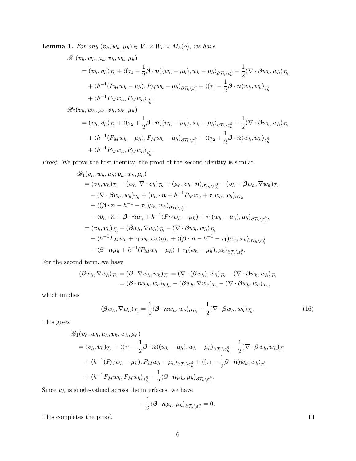**Lemma 1.** For any  $(\mathbf{v}_h, w_h, \mu_h) \in \mathbf{V}_h \times W_h \times M_h(o)$ , we have

$$
\mathscr{B}_{1}(\boldsymbol{v}_{h},w_{h},\mu_{h};\boldsymbol{v}_{h},w_{h},\mu_{h})
$$
\n
$$
= (\boldsymbol{v}_{h},\boldsymbol{v}_{h})_{\mathcal{T}_{h}} + \langle (\tau_{1} - \frac{1}{2}\boldsymbol{\beta} \cdot \boldsymbol{n})(w_{h} - \mu_{h}), w_{h} - \mu_{h} \rangle_{\partial \mathcal{T}_{h} \setminus \varepsilon_{h}^{\partial}} - \frac{1}{2}(\nabla \cdot \boldsymbol{\beta} w_{h},w_{h})_{\mathcal{T}_{h}}
$$
\n
$$
+ \langle h^{-1}(P_{M}w_{h} - \mu_{h}), P_{M}w_{h} - \mu_{h} \rangle_{\partial \mathcal{T}_{h} \setminus \varepsilon_{h}^{\partial}} + \langle (\tau_{1} - \frac{1}{2}\boldsymbol{\beta} \cdot \boldsymbol{n})w_{h}, w_{h} \rangle_{\varepsilon_{h}^{\partial}}
$$
\n
$$
+ \langle h^{-1}P_{M}w_{h}, P_{M}w_{h} \rangle_{\varepsilon_{h}^{\partial}},
$$

 $\mathscr{B}_2(\boldsymbol{v}_h, w_h, \mu_h; \boldsymbol{v}_h, w_h, \mu_h)$  $=(\boldsymbol{v}_h, \boldsymbol{v}_h)_{\mathcal{T}_h} + \langle(\tau_2 + \frac{1}{2})$  $\frac{1}{2}\boldsymbol{\beta}\cdot\boldsymbol{n})(w_h-\mu_h), w_h-\mu_h\rangle_{\partial\mathcal{T}_h\setminus\varepsilon_h^{\partial}}-\frac{1}{2}$  $\frac{1}{2}(\nabla \cdot \boldsymbol{\beta} w_h, w_h)_{\mathcal{T}_h}$  $+ \langle h^{-1}(P_M w_h - \mu_h), P_M w_h - \mu_h \rangle_{\partial \mathcal T_h \setminus \varepsilon_h^\partial} + \langle (\tau_2 + \frac{1}{2}$  $\frac{\textbf{1}}{2} \boldsymbol{\beta} \cdot \boldsymbol{n}) w_h, w_h \rangle_{\varepsilon_h^{\partial}}$  $+ \langle h^{-1} P_M w_h, P_M w_h \rangle_{\varepsilon_h^{\partial}}.$ 

Proof. We prove the first identity; the proof of the second identity is similar.

$$
\mathscr{B}_{1}(\boldsymbol{v}_{h},w_{h},\mu_{h};\boldsymbol{v}_{h},w_{h},\mu_{h})
$$
\n
$$
= (\boldsymbol{v}_{h},\boldsymbol{v}_{h})_{\mathcal{T}_{h}} - (\boldsymbol{w}_{h},\nabla\cdot\boldsymbol{v}_{h})_{\mathcal{T}_{h}} + \langle\mu_{h},\boldsymbol{v}_{h}\cdot\boldsymbol{n}\rangle_{\partial\mathcal{T}_{h}\setminus\varepsilon_{h}^{\partial}} - (\boldsymbol{v}_{h} + \boldsymbol{\beta}w_{h},\nabla w_{h})_{\mathcal{T}_{h}}
$$
\n
$$
- (\nabla\cdot\boldsymbol{\beta}w_{h},w_{h})_{\mathcal{T}_{h}} + \langle\boldsymbol{v}_{h}\cdot\boldsymbol{n} + h^{-1}P_{M}w_{h} + \tau_{1}w_{h},w_{h}\rangle_{\partial\mathcal{T}_{h}}
$$
\n
$$
+ \langle(\boldsymbol{\beta}\cdot\boldsymbol{n} - h^{-1} - \tau_{1})\mu_{h},w_{h}\rangle_{\partial\mathcal{T}_{h}\setminus\varepsilon_{h}^{\partial}}
$$
\n
$$
- \langle\boldsymbol{v}_{h}\cdot\boldsymbol{n} + \boldsymbol{\beta}\cdot\boldsymbol{n}\mu_{h} + h^{-1}(P_{M}w_{h} - \mu_{h}) + \tau_{1}(w_{h} - \mu_{h}),\mu_{h}\rangle_{\partial\mathcal{T}_{h}\setminus\varepsilon_{h}^{\partial}},
$$
\n
$$
= (\boldsymbol{v}_{h},\boldsymbol{v}_{h})_{\mathcal{T}_{h}} - (\boldsymbol{\beta}w_{h},\nabla w_{h})_{\mathcal{T}_{h}} - (\nabla\cdot\boldsymbol{\beta}w_{h},w_{h})_{\mathcal{T}_{h}}
$$
\n
$$
+ \langle h^{-1}P_{M}w_{h} + \tau_{1}w_{h},w_{h}\rangle_{\partial\mathcal{T}_{h}} + \langle(\boldsymbol{\beta}\cdot\boldsymbol{n} - h^{-1} - \tau_{1})\mu_{h},w_{h}\rangle_{\partial\mathcal{T}_{h}\setminus\varepsilon_{h}^{\partial}}
$$
\n
$$
- \langle\boldsymbol{\beta}\cdot\boldsymbol{n}\mu_{h} + h^{-1}(P_{M}w_{h} - \mu_{h}) + \tau_{1}(w_{h} - \mu_{h}),\mu_{h}\rangle_{\partial\mathcal{T}_{h}\setminus\varepsilon_{h}^{\partial}}.
$$

For the second term, we have

$$
(\beta w_h, \nabla w_h)_{\mathcal{T}_h} = (\beta \cdot \nabla w_h, w_h)_{\mathcal{T}_h} = (\nabla \cdot (\beta w_h), w_h)_{\mathcal{T}_h} - (\nabla \cdot \beta w_h, w_h)_{\mathcal{T}_h}
$$
  
=  $\langle \beta \cdot \mathbf{n} w_h, w_h \rangle_{\partial \mathcal{T}_h} - (\beta w_h, \nabla w_h)_{\mathcal{T}_h} - (\nabla \cdot \beta w_h, w_h)_{\mathcal{T}_h},$ 

which implies

$$
(\beta w_h, \nabla w_h)_{\mathcal{T}_h} = \frac{1}{2} \langle \boldsymbol{\beta} \cdot \boldsymbol{n} w_h, w_h \rangle_{\partial \mathcal{T}_h} - \frac{1}{2} (\nabla \cdot \boldsymbol{\beta} w_h, w_h)_{\mathcal{T}_h}.
$$
 (16)

This gives

$$
\mathscr{B}_{1}(\boldsymbol{v}_{h}, w_{h}, \mu_{h}; \boldsymbol{v}_{h}, w_{h}, \mu_{h})
$$
\n
$$
= (\boldsymbol{v}_{h}, \boldsymbol{v}_{h})\tau_{h} + \langle (\tau_{1} - \frac{1}{2}\boldsymbol{\beta} \cdot \boldsymbol{n})(w_{h} - \mu_{h}), w_{h} - \mu_{h} \rangle_{\partial \mathcal{T}_{h} \setminus \varepsilon_{h}^{\partial}} - \frac{1}{2}(\nabla \cdot \boldsymbol{\beta} w_{h}, w_{h})\tau_{h}
$$
\n
$$
+ \langle h^{-1}(P_{M}w_{h} - \mu_{h}), P_{M}w_{h} - \mu_{h} \rangle_{\partial \mathcal{T}_{h} \setminus \varepsilon_{h}^{\partial}} + \langle (\tau_{1} - \frac{1}{2}\boldsymbol{\beta} \cdot \boldsymbol{n})w_{h}, w_{h} \rangle_{\varepsilon_{h}^{\partial}}
$$
\n
$$
+ \langle h^{-1}P_{M}w_{h}, P_{M}w_{h} \rangle_{\varepsilon_{h}^{\partial}} - \frac{1}{2}\langle \boldsymbol{\beta} \cdot \boldsymbol{n}\mu_{h}, \mu_{h} \rangle_{\partial \mathcal{T}_{h} \setminus \varepsilon_{h}^{\partial}}.
$$

Since  $\mu_h$  is single-valued across the interfaces, we have

$$
-\frac{1}{2}\langle \boldsymbol{\beta}\cdot\boldsymbol{n}\mu_{h},\mu_{h}\rangle_{\partial\mathcal{T}_{h}\setminus\varepsilon_{h}^{\partial}}=0.
$$

This completes the proof.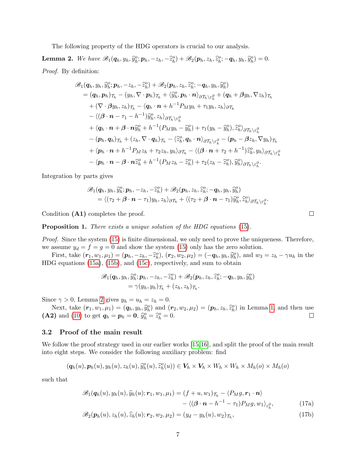The following property of the HDG operators is crucial to our analysis.

<span id="page-6-0"></span>**Lemma 2.** We have  $\mathscr{B}_1(\boldsymbol{q}_h, y_h, \widehat{y}_h^o; \boldsymbol{p}_h, -z_h, -\widehat{z}_h^o) + \mathscr{B}_2(\boldsymbol{p}_h, z_h, \widehat{z}_h^o; -\boldsymbol{q}_h, y_h, \widehat{y}_h^o) = 0.$ Proof. By definition:

$$
\mathscr{B}_{1}(q_{h},y_{h},\widehat{y}_{h}^{o};p_{h},-z_{h},-\widehat{z}_{h}^{o})+\mathscr{B}_{2}(p_{h},z_{h},\widehat{z}_{h}^{o};-q_{h},y_{h},\widehat{y}_{h}^{o})
$$
\n
$$
=(q_{h},p_{h})\mathcal{T}_{h}-(y_{h},\nabla\cdot p_{h})\mathcal{T}_{h}+\langle\widehat{y}_{h}^{o},p_{h}\cdot n\rangle_{\partial\mathcal{T}_{h}\setminus\varepsilon_{h}^{0}}+(q_{h}+\beta y_{h},\nabla z_{h})\mathcal{T}_{h}
$$
\n
$$
+(\nabla\cdot\beta y_{h},z_{h})\mathcal{T}_{h}-\langle q_{h}\cdot n+h^{-1}P_{M}y_{h}+\tau_{1}y_{h},z_{h}\rangle_{\partial\mathcal{T}_{h}}
$$
\n
$$
-\langle(\beta\cdot n-\tau_{1}-h^{-1})\widehat{y}_{h}^{o},z_{h}\rangle_{\partial\mathcal{T}_{h}\setminus\varepsilon_{h}^{0}}
$$
\n
$$
+\langle q_{h}\cdot n+\beta\cdot n\widehat{y}_{h}^{o}+h^{-1}(P_{M}y_{h}-\widehat{y}_{h}^{o})+\tau_{1}(y_{h}-\widehat{y}_{h}^{o}),\widehat{z}_{h}^{o}\rangle_{\partial\mathcal{T}_{h}\setminus\varepsilon_{h}^{0}}
$$
\n
$$
-(p_{h},q_{h})\mathcal{T}_{h}+(z_{h},\nabla\cdot q_{h})\mathcal{T}_{h}-\langle\widehat{z}_{h}^{o},q_{h}\cdot n\rangle_{\partial\mathcal{T}_{h}\setminus\varepsilon_{h}^{0}}-(p_{h}-\beta z_{h},\nabla y_{h})\mathcal{T}_{h}
$$
\n
$$
+\langle p_{h}\cdot n+h^{-1}P_{M}z_{h}+\tau_{2}z_{h},y_{h}\rangle_{\partial\mathcal{T}_{h}}-\langle(\beta\cdot n+\tau_{2}+h^{-1})\widehat{z}_{h}^{o},y_{h}\rangle_{\partial\mathcal{T}_{h}\setminus\varepsilon_{h}^{0}}
$$
\n
$$
-\langle p_{h}\cdot n-\beta\cdot n\widehat{z}_{h}^{o}+h^{-1}(P_{M}z_{h}-\widehat{z}_{h}^{o})+\tau_{2}(z_{h}-\widehat{z}_{h}^{o}),\widehat
$$

Integration by parts gives

$$
\mathscr{B}_1(\boldsymbol{q}_h, y_h, \widehat{y}_h^o; \boldsymbol{p}_h, -z_h, -\widehat{z}_h^o) + \mathscr{B}_2(\boldsymbol{p}_h, z_h, \widehat{z}_h^o; -\boldsymbol{q}_h, y_h, \widehat{y}_h^o) = \langle (\tau_2 + \boldsymbol{\beta} \cdot \boldsymbol{n} - \tau_1) y_h, z_h \rangle_{\partial \mathcal{T}_h} + \langle (\tau_2 + \boldsymbol{\beta} \cdot \boldsymbol{n} - \tau_1) \widehat{y}_h^o, \widehat{z}_h^o \rangle_{\partial \mathcal{T}_h} \rangle_{\varepsilon_h^{\partial}}.
$$

Condition (A1) completes the proof.

Proposition 1. There exists a unique solution of the HDG equations [\(15\)](#page-4-0).

Proof. Since the system [\(15\)](#page-4-0) is finite dimensional, we only need to prove the uniqueness. Therefore, we assume  $y_d = f = g = 0$  and show the system [\(15\)](#page-4-0) only has the zero solution.

First, take  $(\mathbf{r}_1, w_1, \mu_1) = (\mathbf{p}_h, -z_h, -\hat{z}_h^o), (\mathbf{r}_2, w_2, \mu_2) = (-\mathbf{q}_h, y_h, \hat{y}_h^o),$  and  $w_3 = z_h - \gamma u_h$  in the Constitution (150), and (150), respectively and sum to obtain HDG equations [\(15a\)](#page-4-1), [\(15b\)](#page-4-2), and [\(15c\)](#page-4-3), respectively, and sum to obtain

$$
\mathscr{B}_1(\boldsymbol{q}_h, y_h, \widehat{y}_h^o; \boldsymbol{p}_h, -z_h, -\widehat{z}_h^o) + \mathscr{B}_2(\boldsymbol{p}_h, z_h, \widehat{z}_h^o; -\boldsymbol{q}_h, y_h, \widehat{y}_h^o) = \gamma(y_h, y_h)_{\mathcal{T}_h} + (z_h, z_h)_{\mathcal{T}_h}.
$$

Since  $\gamma > 0$ , Lemma [2](#page-6-0) gives  $y_h = u_h = z_h = 0$ .

Next, take  $(\mathbf{r}_1, w_1, \mu_1) = (\mathbf{q}_h, y_h, \hat{y}_h^o)$  and  $(\mathbf{r}_2, w_2, \mu_2) = (\mathbf{p}_h, z_h, \hat{z}_h^o)$  in Lemma [1,](#page-4-4) and then use (A2) and [\(10\)](#page-3-1) to get  $q_h = p_h = 0$ ,  $\hat{y}_h^o = \hat{z}_h^o = 0$ .

#### 3.2 Proof of the main result

We follow the proof strategy used in our earlier works [\[15,](#page-20-6)[16\]](#page-20-5), and split the proof of the main result into eight steps. We consider the following auxiliary problem: find

$$
(\boldsymbol{q}_h(u), \boldsymbol{p}_h(u), y_h(u), z_h(u), \widehat{y}_h^o(u), \widehat{z}_h^o(u)) \in \boldsymbol{V}_h \times \boldsymbol{V}_h \times W_h \times W_h \times M_h(o) \times M_h(o)
$$

such that

$$
\mathscr{B}_1(\boldsymbol{q}_h(u), y_h(u), \widehat{y}_h(u); \boldsymbol{r}_1, w_1, \mu_1) = (f + u, w_1)_{\mathcal{T}_h} - \langle P_M g, \boldsymbol{r}_1 \cdot \boldsymbol{n} \rangle \n- \langle (\boldsymbol{\beta} \cdot \boldsymbol{n} - h^{-1} - \tau_1) P_M g, w_1 \rangle_{\varepsilon_h^{\partial}},
$$
\n(17a)

<span id="page-6-2"></span><span id="page-6-1"></span>
$$
\mathscr{B}_2(\boldsymbol{p}_h(u), z_h(u), \widehat{z}_h(u); \mathbf{r}_2, w_2, \mu_2) = (y_d - y_h(u), w_2)_{\mathcal{T}_h},\tag{17b}
$$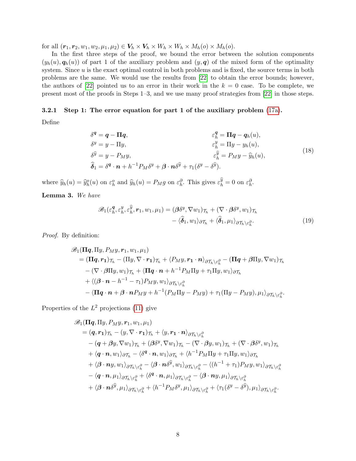for all  $(\mathbf{r}_1, \mathbf{r}_2, w_1, w_2, \mu_1, \mu_2) \in \mathbf{V}_h \times \mathbf{V}_h \times W_h \times W_h \times M_h(o) \times M_h(o)$ .

In the first three steps of the proof, we bound the error between the solution components  $(y_h(u), q_h(u))$  of part 1 of the auxiliary problem and  $(y, q)$  of the mixed form of the optimality system. Since  $u$  is the exact optimal control in both problems and is fixed, the source terms in both problems are the same. We would use the results from [\[22\]](#page-21-9) to obtain the error bounds; however, the authors of [\[22\]](#page-21-9) pointed us to an error in their work in the  $k = 0$  case. To be complete, we present most of the proofs in Steps 1–3, and we use many proof strategies from [\[22\]](#page-21-9) in those steps.

### 3.2.1 Step 1: The error equation for part 1 of the auxiliary problem [\(17a\)](#page-6-1).

Define

$$
\delta^{q} = q - \Pi q, \qquad \qquad \varepsilon^{q}_{h} = \Pi q - q_{h}(u),
$$
  
\n
$$
\delta^{y} = y - \Pi y, \qquad \qquad \varepsilon^{y}_{h} = \Pi y - y_{h}(u),
$$
  
\n
$$
\delta^{\hat{y}} = y - P_{M}y, \qquad \qquad \varepsilon^{\hat{y}}_{h} = P_{M}y - \hat{y}_{h}(u),
$$
  
\n
$$
\hat{\delta}_{1} = \delta^{q} \cdot \mathbf{n} + h^{-1} P_{M} \delta^{y} + \beta \cdot \mathbf{n} \delta^{\hat{y}} + \tau_{1} (\delta^{y} - \delta^{\hat{y}}).
$$
\n(18)

where  $\widehat{y}_h(u) = \widehat{y}_h^o(u)$  on  $\varepsilon_h^o$  and  $\widehat{y}_h(u) = P_M g$  on  $\varepsilon_h^{\partial}$ . This gives  $\varepsilon_h^{\widehat{y}} = 0$  on  $\varepsilon_h^{\partial}$ .  $\overline{\mathbf{e}}$   $\mathbf{W}$   $\overline{\mathbf{v}}$ 

<span id="page-7-1"></span>

<span id="page-7-0"></span>
$$
\mathscr{B}_{1}(\varepsilon_{h}^{q}, \varepsilon_{h}^{y}, \varepsilon_{h}^{\widehat{y}}, \mathbf{r}_{1}, w_{1}, \mu_{1}) = (\boldsymbol{\beta}\delta^{y}, \nabla w_{1})\tau_{h} + (\nabla \cdot \boldsymbol{\beta}\delta^{y}, w_{1})\tau_{h} - \langle \widehat{\boldsymbol{\delta}}_{1}, w_{1} \rangle_{\partial \mathcal{T}_{h}} + \langle \widehat{\boldsymbol{\delta}}_{1}, \mu_{1} \rangle_{\partial \mathcal{T}_{h} \setminus \varepsilon_{h}^{\partial}}.
$$
\n(19)

Proof. By definition:

$$
\mathscr{B}_{1}(\Pi q, \Pi y, P_{M}y, r_{1}, w_{1}, \mu_{1})
$$
\n
$$
= (\Pi q, r_{1})_{\mathcal{T}_{h}} - (\Pi y, \nabla \cdot r_{1})_{\mathcal{T}_{h}} + \langle P_{M}y, r_{1} \cdot n \rangle_{\partial \mathcal{T}_{h} \setminus \varepsilon_{h}^{\partial}} - (\Pi q + \beta \Pi y, \nabla w_{1})_{\mathcal{T}_{h}}
$$
\n
$$
- (\nabla \cdot \beta \Pi y, w_{1})_{\mathcal{T}_{h}} + \langle \Pi q \cdot n + h^{-1} P_{M} \Pi y + \tau_{1} \Pi y, w_{1} \rangle_{\partial \mathcal{T}_{h}}
$$
\n
$$
+ \langle (\beta \cdot n - h^{-1} - \tau_{1}) P_{M}y, w_{1} \rangle_{\partial \mathcal{T}_{h} \setminus \varepsilon_{h}^{\partial}}
$$
\n
$$
- \langle \Pi q \cdot n + \beta \cdot n P_{M}y + h^{-1} (P_{M} \Pi y - P_{M}y) + \tau_{1} (\Pi y - P_{M}y), \mu_{1} \rangle_{\partial \mathcal{T}_{h} \setminus \varepsilon_{h}^{\partial}}.
$$

Properties of the  $L^2$  projections [\(11\)](#page-4-5) give

$$
\mathscr{B}_{1}(\Pi q, \Pi y, P_{M}y, r_{1}, w_{1}, \mu_{1})
$$
\n
$$
= (q, r_{1})_{\mathcal{T}_{h}} - (y, \nabla \cdot r_{1})_{\mathcal{T}_{h}} + \langle y, r_{1} \cdot n \rangle_{\partial \mathcal{T}_{h} \setminus \varepsilon_{h}^{\partial}}
$$
\n
$$
- (q + \beta y, \nabla w_{1})_{\mathcal{T}_{h}} + (\beta \delta^{y}, \nabla w_{1})_{\mathcal{T}_{h}} - (\nabla \cdot \beta y, w_{1})_{\mathcal{T}_{h}} + (\nabla \cdot \beta \delta^{y}, w_{1})_{\mathcal{T}_{h}}
$$
\n
$$
+ \langle q \cdot n, w_{1} \rangle_{\partial \mathcal{T}_{h}} - \langle \delta^{q} \cdot n, w_{1} \rangle_{\partial \mathcal{T}_{h}} + \langle h^{-1} P_{M} \Pi y + \tau_{1} \Pi y, w_{1} \rangle_{\partial \mathcal{T}_{h}}
$$
\n
$$
+ \langle \beta \cdot ny, w_{1} \rangle_{\partial \mathcal{T}_{h} \setminus \varepsilon_{h}^{\partial}} - \langle \beta \cdot n \delta^{\widehat{y}}, w_{1} \rangle_{\partial \mathcal{T}_{h} \setminus \varepsilon_{h}^{\partial}} - \langle (h^{-1} + \tau_{1}) P_{M} y, w_{1} \rangle_{\partial \mathcal{T}_{h} \setminus \varepsilon_{h}^{\partial}}
$$
\n
$$
- \langle q \cdot n, \mu_{1} \rangle_{\partial \mathcal{T}_{h} \setminus \varepsilon_{h}^{\partial}} + \langle \delta^{q} \cdot n, \mu_{1} \rangle_{\partial \mathcal{T}_{h} \setminus \varepsilon_{h}^{\partial}} - \langle \beta \cdot ny, \mu_{1} \rangle_{\partial \mathcal{T}_{h} \setminus \varepsilon_{h}^{\partial}}
$$
\n
$$
+ \langle \beta \cdot n \delta^{\widehat{y}}, \mu_{1} \rangle_{\partial \mathcal{T}_{h} \setminus \varepsilon_{h}^{\partial}} + \langle h^{-1} P_{M} \delta^{y}, \mu_{1} \rangle_{\partial \mathcal{T}_{h} \setminus \varepsilon_{h}^{\partial}} + \langle \tau_{1} (\delta^{y} - \delta^{\widehat{y}}), \mu_{1} \rangle_{\partial \mathcal{T}_{h} \setminus \varepsilon_{h}^
$$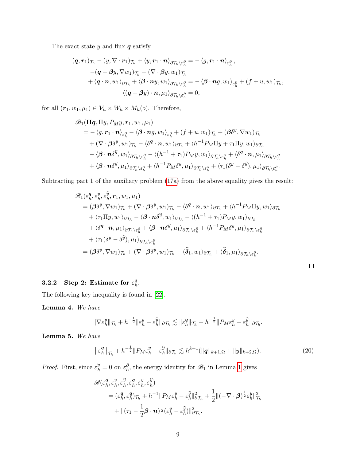The exact state  $y$  and flux  $q$  satisfy

$$
(\boldsymbol{q}, \boldsymbol{r}_{1})_{\mathcal{T}_{h}} - (\boldsymbol{y}, \nabla \cdot \boldsymbol{r}_{1})_{\mathcal{T}_{h}} + \langle \boldsymbol{y}, \boldsymbol{r}_{1} \cdot \boldsymbol{n} \rangle_{\partial \mathcal{T}_{h} \setminus \varepsilon_{h}^{\partial}} = -\langle \boldsymbol{g}, \boldsymbol{r}_{1} \cdot \boldsymbol{n} \rangle_{\varepsilon_{h}^{\partial}},
$$
  
\n
$$
-(\boldsymbol{q} + \beta \boldsymbol{y}, \nabla w_{1})_{\mathcal{T}_{h}} - (\nabla \cdot \beta \boldsymbol{y}, w_{1})_{\mathcal{T}_{h}} + \langle \boldsymbol{q} \cdot \boldsymbol{n}, w_{1} \rangle_{\partial \mathcal{T}_{h}} + \langle \boldsymbol{\beta} \cdot \boldsymbol{n} \boldsymbol{y}, w_{1} \rangle_{\partial \mathcal{T}_{h} \setminus \varepsilon_{h}^{\partial}} = -\langle \boldsymbol{\beta} \cdot \boldsymbol{n} \boldsymbol{g}, w_{1} \rangle_{\varepsilon_{h}^{\partial}} + (\boldsymbol{f} + \boldsymbol{u}, w_{1})_{\mathcal{T}_{h}},
$$
  
\n
$$
\langle (\boldsymbol{q} + \beta \boldsymbol{y}) \cdot \boldsymbol{n}, \mu_{1} \rangle_{\partial \mathcal{T}_{h} \setminus \varepsilon_{h}^{\partial}} = 0,
$$

for all  $(r_1, w_1, \mu_1) \in V_h \times W_h \times M_h(o)$ . Therefore,

$$
\mathscr{B}_{1}(\Pi q, \Pi y, P_{M} y, r_{1}, w_{1}, \mu_{1})
$$
\n
$$
= -\langle g, r_{1} \cdot n \rangle_{\varepsilon_{h}^{\partial}} - \langle \beta \cdot n g, w_{1} \rangle_{\varepsilon_{h}^{\partial}} + (f + u, w_{1}) \tau_{h} + (\beta \delta^{y}, \nabla w_{1}) \tau_{h}
$$
\n
$$
+ (\nabla \cdot \beta \delta^{y}, w_{1}) \tau_{h} - \langle \delta^{q} \cdot n, w_{1} \rangle_{\partial \mathcal{T}_{h}} + \langle h^{-1} P_{M} \Pi y + \tau_{1} \Pi y, w_{1} \rangle_{\partial \mathcal{T}_{h}}
$$
\n
$$
- \langle \beta \cdot n \delta^{\widehat{y}}, w_{1} \rangle_{\partial \mathcal{T}_{h}} \langle \varepsilon_{h}^{\partial} - \langle (h^{-1} + \tau_{1}) P_{M} y, w_{1} \rangle_{\partial \mathcal{T}_{h}} \langle \varepsilon_{h}^{\partial} + \langle \delta^{q} \cdot n, \mu_{1} \rangle_{\partial \mathcal{T}_{h}} \langle \varepsilon_{h}^{\partial} + \langle \beta \cdot n \delta^{\widehat{y}}, \mu_{1} \rangle_{\partial \mathcal{T}_{h}} \langle \varepsilon_{h}^{\partial} + \langle h^{-1} P_{M} \delta^{y}, \mu_{1} \rangle_{\partial \mathcal{T}_{h}} \langle \varepsilon_{h}^{\partial} + \langle \tau_{1} (\delta^{y} - \delta^{\widehat{y}}), \mu_{1} \rangle_{\partial \mathcal{T}_{h}} \langle \varepsilon_{h}^{\partial} + \langle \mu_{1} \cdot n \rangle_{\partial \mathcal{T}_{h}} \langle \varepsilon_{h}^{\partial} + \langle \mu_{1} \cdot n \rangle_{\partial \mathcal{T}_{h}} \langle \varepsilon_{h}^{\partial} + \langle \mu_{1} \cdot n \rangle_{\partial \mathcal{T}_{h}} \langle \varepsilon_{h}^{\partial} + \langle \mu_{1} \cdot n \rangle_{\partial \mathcal{T}_{h}} \langle \varepsilon_{h}^{\partial} + \langle \mu_{1} \cdot n \rangle_{\partial \mathcal{T}_{h}} \langle \varepsilon_{h}^{\partial} + \langle \mu_{1} \cdot n \rangle_{\partial \mathcal{T}_{h}} \langle \varepsilon_{h}^{\partial} + \langle \mu_{1} \cdot n \rangle_{\
$$

Subtracting part 1 of the auxiliary problem [\(17a\)](#page-6-1) from the above equality gives the result:

$$
\mathscr{B}_{1}(\varepsilon_{h}^{q},\varepsilon_{h}^{y},\varepsilon_{h}^{\widehat{y}},\mathbf{r}_{1},w_{1},\mu_{1})
$$
\n
$$
= (\boldsymbol{\beta}\delta^{y},\nabla w_{1})\tau_{h} + (\nabla \cdot \boldsymbol{\beta}\delta^{y},w_{1})\tau_{h} - \langle \delta^{q} \cdot \boldsymbol{n},w_{1} \rangle_{\partial \mathcal{T}_{h}} + \langle h^{-1}P_{M}\Pi y,w_{1} \rangle_{\partial \mathcal{T}_{h}}
$$
\n
$$
+ \langle \tau_{1}\Pi y,w_{1} \rangle_{\partial \mathcal{T}_{h}} - \langle \boldsymbol{\beta} \cdot \boldsymbol{n}\delta^{\widehat{y}},w_{1} \rangle_{\partial \mathcal{T}_{h}} - \langle (h^{-1} + \tau_{1})P_{M}y,w_{1} \rangle_{\partial \mathcal{T}_{h}}
$$
\n
$$
+ \langle \delta^{q} \cdot \boldsymbol{n},\mu_{1} \rangle_{\partial \mathcal{T}_{h}} \rangle_{\varepsilon_{h}^{\partial}} + \langle \boldsymbol{\beta} \cdot \boldsymbol{n}\delta^{\widehat{y}},\mu_{1} \rangle_{\partial \mathcal{T}_{h}} \rangle_{\varepsilon_{h}^{\partial}} + \langle h^{-1}P_{M}\delta^{y},\mu_{1} \rangle_{\partial \mathcal{T}_{h}} \rangle_{\varepsilon_{h}^{\partial}}
$$
\n
$$
+ \langle \tau_{1}(\delta^{y} - \delta^{\widehat{y}}),\mu_{1} \rangle_{\partial \mathcal{T}_{h}} \rangle_{\varepsilon_{h}^{\partial}}
$$
\n
$$
= (\boldsymbol{\beta}\delta^{y},\nabla w_{1})\tau_{h} + (\nabla \cdot \boldsymbol{\beta}\delta^{y},w_{1})\tau_{h} - \langle \widehat{\boldsymbol{\delta}}_{1},w_{1} \rangle_{\partial \mathcal{T}_{h}} + \langle \widehat{\boldsymbol{\delta}}_{1},\mu_{1} \rangle_{\partial \mathcal{T}_{h}} \rangle_{\varepsilon_{h}^{\partial}}.
$$

#### 3.2.2 Step 2: Estimate for  $\varepsilon_h^q$  $^q_h\cdot$

The following key inequality is found in [\[22\]](#page-21-9).

<span id="page-8-0"></span>Lemma 4. We have

$$
\|\nabla \varepsilon_h^y\|_{\mathcal{T}_h} + h^{-\frac{1}{2}} \|\varepsilon_h^y - \varepsilon_h^{\widehat{y}}\|_{\partial \mathcal{T}_h} \lesssim \|\varepsilon_h^q\|_{\mathcal{T}_h} + h^{-\frac{1}{2}} \|P_M \varepsilon_h^y - \varepsilon_h^{\widehat{y}}\|_{\partial \mathcal{T}_h}.
$$

<span id="page-8-1"></span>Lemma 5. We have

$$
\left\|\varepsilon_h^{\mathbf{q}}\right\|_{\mathcal{T}_h} + h^{-\frac{1}{2}} \|P_M \varepsilon_h^{\mathbf{y}} - \varepsilon_h^{\widehat{\mathbf{y}}}\|_{\partial \mathcal{T}_h} \lesssim h^{k+1}(\|\mathbf{q}\|_{k+1,\Omega} + \|y\|_{k+2,\Omega}).\tag{20}
$$

*Proof.* First, since  $\varepsilon_h^{\hat{y}} = 0$  on  $\varepsilon_h^{\partial}$ , the energy identity for  $\mathscr{B}_1$  in Lemma [1](#page-4-4) gives

$$
\mathscr{B}(\varepsilon_h^{\mathbf{q}}, \varepsilon_h^y, \varepsilon_h^{\widehat{y}}, \varepsilon_h^{\mathbf{q}}, \varepsilon_h^y, \varepsilon_h^{\widehat{y}})
$$
  
=  $(\varepsilon_h^{\mathbf{q}}, \varepsilon_h^{\mathbf{q}})_{\mathcal{T}_h} + h^{-1} ||P_M \varepsilon_h^y - \varepsilon_h^{\widehat{y}} ||_{\partial \mathcal{T}_h}^2 + \frac{1}{2} ||(-\nabla \cdot \mathbf{\beta})^{\frac{1}{2}} \varepsilon_h^y ||_{\mathcal{T}_h}^2$   
+  $||(\tau_1 - \frac{1}{2}\mathbf{\beta} \cdot \mathbf{n})^{\frac{1}{2}} (\varepsilon_h^y - \varepsilon_h^{\widehat{y}}) ||_{\partial \mathcal{T}_h}^2.$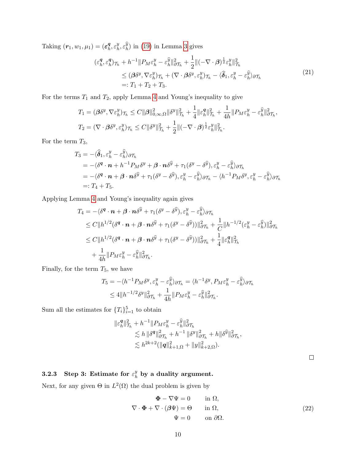Taking  $(\boldsymbol{r}_1, w_1, \mu_1) = (\boldsymbol{\varepsilon_h^q})$  $\frac{\boldsymbol{q}}{h}, \varepsilon_h^y$  $\hat{y}_h^y, \varepsilon_h^{\widehat{y}}$  in [\(19\)](#page-7-0) in Lemma [3](#page-7-1) gives

$$
\begin{split} (\varepsilon_h^{\mathbf{q}}, \varepsilon_h^{\mathbf{q}})_{\mathcal{T}_h} + h^{-1} \| P_M \varepsilon_h^y - \varepsilon_h^{\widehat{y}} \|_{\partial \mathcal{T}_h}^2 + \frac{1}{2} \| (-\nabla \cdot \mathbf{\beta})^{\frac{1}{2}} \varepsilon_h^y \|_{\mathcal{T}_h}^2 \\ &\leq (\mathbf{\beta} \delta^y, \nabla \varepsilon_h^y)_{\mathcal{T}_h} + (\nabla \cdot \mathbf{\beta} \delta^y, \varepsilon_h^y)_{\mathcal{T}_h} - \langle \widehat{\delta}_1, \varepsilon_h^y - \varepsilon_h^{\widehat{y}} \rangle_{\partial \mathcal{T}_h} \\ &\qquad\qquad=: T_1 + T_2 + T_3. \end{split} \tag{21}
$$

For the terms  $T_1$  and  $T_2$ , apply Lemma [4](#page-8-0) and Young's inequality to give

$$
T_1 = (\beta \delta^y, \nabla \varepsilon_h^y)_{\mathcal{T}_h} \le C \|\beta\|_{0,\infty,\Omega}^2 \|\delta^y\|_{\mathcal{T}_h}^2 + \frac{1}{4} \|\varepsilon_h^q\|_{\mathcal{T}_h}^2 + \frac{1}{4h} \|P_M \varepsilon_h^y - \varepsilon_h^{\widehat{y}}\|_{\partial \mathcal{T}_h}^2,
$$
  

$$
T_2 = (\nabla \cdot \beta \delta^y, \varepsilon_h^y)_{\mathcal{T}_h} \le C \|\delta^y\|_{\mathcal{T}_h}^2 + \frac{1}{2} \|(-\nabla \cdot \beta)^{\frac{1}{2}} \varepsilon_h^y\|_{\mathcal{T}_h}^2.
$$

For the term  $T_3$ ,

$$
T_3 = -\langle \hat{\delta}_1, \varepsilon_h^y - \varepsilon_h^{\hat{y}} \rangle \partial \mathcal{T}_h
$$
  
\n
$$
= -\langle \delta^q \cdot \mathbf{n} + h^{-1} P_M \delta^y + \beta \cdot \mathbf{n} \delta^{\hat{y}} + \tau_1 (\delta^y - \delta^{\hat{y}}), \varepsilon_h^y - \varepsilon_h^{\hat{y}} \rangle \partial \mathcal{T}_h
$$
  
\n
$$
= -\langle \delta^q \cdot \mathbf{n} + \beta \cdot \mathbf{n} \delta^{\hat{y}} + \tau_1 (\delta^y - \delta^{\hat{y}}), \varepsilon_h^y - \varepsilon_h^{\hat{y}} \rangle \partial \mathcal{T}_h - \langle h^{-1} P_M \delta^y, \varepsilon_h^y - \varepsilon_h^{\hat{y}} \rangle \partial \mathcal{T}_h
$$
  
\n
$$
=: T_4 + T_5.
$$

Applying Lemma [4](#page-8-0) and Young's inequality again gives

$$
T_4 = -\langle \delta^q \cdot \mathbf{n} + \beta \cdot \mathbf{n} \delta^{\widehat{y}} + \tau_1 (\delta^y - \delta^{\widehat{y}}), \varepsilon_h^y - \varepsilon_h^{\widehat{y}} \rangle_{\partial \mathcal{T}_h}
$$
  
\n
$$
\leq C \|h^{1/2} (\delta^q \cdot \mathbf{n} + \beta \cdot \mathbf{n} \delta^{\widehat{y}} + \tau_1 (\delta^y - \delta^{\widehat{y}}))\|_{\partial \mathcal{T}_h}^2 + \frac{1}{C} \|h^{-1/2} (\varepsilon_h^y - \varepsilon_h^{\widehat{y}})\|_{\partial \mathcal{T}_h}^2
$$
  
\n
$$
\leq C \|h^{1/2} (\delta^q \cdot \mathbf{n} + \beta \cdot \mathbf{n} \delta^{\widehat{y}} + \tau_1 (\delta^y - \delta^{\widehat{y}}))\|_{\partial \mathcal{T}_h}^2 + \frac{1}{4} \|\varepsilon_h^q\|_{\mathcal{T}_h}^2
$$
  
\n
$$
+ \frac{1}{4h} \|P_M \varepsilon_h^y - \varepsilon_h^{\widehat{y}}\|_{\partial \mathcal{T}_h}^2.
$$

Finally, for the term  $T_5,$  we have

$$
T_5 = -\langle h^{-1}P_M \delta^y, \varepsilon_h^y - \varepsilon_h^{\widehat{y}} \rangle_{\partial \mathcal{T}_h} = \langle h^{-1} \delta^y, P_M \varepsilon_h^y - \varepsilon_h^{\widehat{y}} \rangle_{\partial \mathcal{T}_h}
$$
  

$$
\leq 4 \| h^{-1/2} \delta^y \|^2_{\partial \mathcal{T}_h} + \frac{1}{4h} \| P_M \varepsilon_h^y - \varepsilon_h^{\widehat{y}} \|^2_{\partial \mathcal{T}_h}.
$$

Sum all the estimates for  $\{T_i\}_{i=1}^5$  to obtain

$$
\begin{aligned} \|\varepsilon_h^{\boldsymbol{q}}\|_{\mathcal{T}_h}^2 &+ h^{-1} \|P_M \varepsilon_h^{\boldsymbol{y}} - \varepsilon_h^{\widehat{\boldsymbol{y}}}\|_{\partial \mathcal{T}_h}^2 \\ &\lesssim h \, \|\delta^{\boldsymbol{q}}\|_{\partial \mathcal{T}_h}^2 + h^{-1} \, \|\delta^{\boldsymbol{y}}\|_{\partial \mathcal{T}_h}^2 + h \|\delta^{\widehat{\boldsymbol{y}}}\|_{\partial \mathcal{T}_h}^2, \\ &\lesssim h^{2k+2} (\|\boldsymbol{q}\|_{k+1,\Omega}^2 + \|\boldsymbol{y}\|_{k+2,\Omega}^2). \end{aligned}
$$

#### 3.2.3 Step 3: Estimate for  $\varepsilon_h^y$  $\frac{y}{h}$  by a duality argument.

<span id="page-9-0"></span>Next, for any given  $\Theta$  in  $L^2(\Omega)$  the dual problem is given by

$$
\Phi - \nabla \Psi = 0 \quad \text{in } \Omega,
$$
  
\n
$$
\nabla \cdot \Phi + \nabla \cdot (\beta \Psi) = \Theta \quad \text{in } \Omega,
$$
  
\n
$$
\Psi = 0 \quad \text{on } \partial \Omega.
$$
\n(22)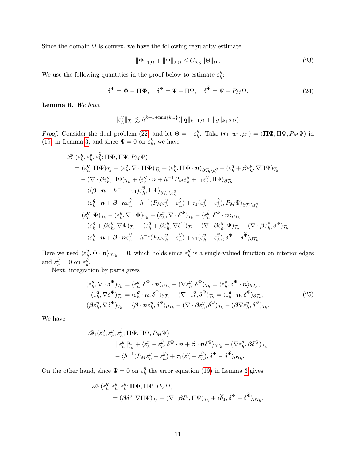Since the domain  $\Omega$  is convex, we have the following regularity estimate

$$
\|\Phi\|_{1,\Omega} + \|\Psi\|_{2,\Omega} \le C_{\text{reg}} \|\Theta\|_{\Omega},\tag{23}
$$

We use the following quantities in the proof below to estimate  $\varepsilon_h^y$  $\frac{y}{h}$ :

$$
\delta^{\Phi} = \Phi - \Pi \Phi, \quad \delta^{\Psi} = \Psi - \Pi \Psi, \quad \delta^{\Psi} = \Psi - P_M \Psi.
$$
 (24)

<span id="page-10-0"></span>Lemma 6. We have

$$
\|\varepsilon_h^y\|_{\mathcal{T}_h} \lesssim h^{k+1+\min\{k,1\}}(\|\mathbf{q}\|_{k+1,\Omega} + \|y\|_{k+2,\Omega}).
$$

*Proof.* Consider the dual problem [\(22\)](#page-9-0) and let  $\Theta = -\varepsilon_h^y$ <sup>y</sup><sub>h</sub>. Take  $(r_1, w_1, \mu_1) = (\Pi \Phi, \Pi \Psi, P_M \Psi)$  in [\(19\)](#page-7-0) in Lemma [3,](#page-7-1) and since  $\Psi = 0$  on  $\varepsilon_h^{\partial}$ , we have

$$
\mathcal{B}_{1}(\varepsilon_{h}^{q},\varepsilon_{h}^{y},\varepsilon_{h}^{\widehat{y}};\Pi\Phi,\Pi\Psi,P_{M}\Psi) \n= (\varepsilon_{h}^{q},\Pi\Phi)\tau_{h} - (\varepsilon_{h}^{y},\nabla\cdot\Pi\Phi)\tau_{h} + \langle \varepsilon_{h}^{\widehat{y}},\Pi\Phi\cdot\mathbf{n}\rangle_{\partial\mathcal{T}_{h}\setminus\varepsilon_{h}^{\partial}} - (\varepsilon_{h}^{q} + \beta\varepsilon_{h}^{y},\nabla\Pi\Psi)\tau_{h} \n- (\nabla\cdot\beta\varepsilon_{h}^{y},\Pi\Psi)\tau_{h} + \langle \varepsilon_{h}^{q}\cdot\mathbf{n} + h^{-1}P_{M}\varepsilon_{h}^{y} + \tau_{1}\varepsilon_{h}^{y},\Pi\Psi\rangle_{\partial\mathcal{T}_{h}} \n+ \langle(\beta\cdot\mathbf{n} - h^{-1} - \tau_{1})\varepsilon_{h}^{\widehat{y}},\Pi\Psi\rangle_{\partial\mathcal{T}_{h}\setminus\varepsilon_{h}^{\partial}} \n- \langle \varepsilon_{h}^{q}\cdot\mathbf{n} + \beta\cdot\mathbf{n}\varepsilon_{h}^{\widehat{y}} + h^{-1}(P_{M}\varepsilon_{h}^{y} - \varepsilon_{h}^{\widehat{y}}) + \tau_{1}(\varepsilon_{h}^{y} - \varepsilon_{h}^{\widehat{y}}),P_{M}\Psi\rangle_{\partial\mathcal{T}_{h}\setminus\varepsilon_{h}^{\partial}} \n= (\varepsilon_{h}^{q},\Phi)\tau_{h} - (\varepsilon_{h}^{y},\nabla\cdot\Phi)\tau_{h} + (\varepsilon_{h}^{y},\nabla\cdot\delta^{\Phi})\tau_{h} - \langle \varepsilon_{h}^{\widehat{y}},\delta^{\Phi}\cdot\mathbf{n}\rangle_{\partial\mathcal{T}_{h}} \n- (\varepsilon_{h}^{q} + \beta\varepsilon_{h}^{y},\nabla\Psi)\tau_{h} + (\varepsilon_{h}^{q} + \beta\varepsilon_{h}^{y},\nabla\delta^{\Psi})\tau_{h} - (\nabla\cdot\beta\varepsilon_{h}^{y},\Psi)\tau_{h} + (\nabla\cdot\beta\varepsilon_{h}^{y},\delta^{\Psi})\tau_{h} \n- \langle \varepsilon_{h}
$$

Here we used  $\langle \varepsilon_h^{\hat{y}}, \Phi \cdot n \rangle_{\partial \mathcal{T}_h} = 0$ , which holds since  $\varepsilon_h^{\hat{y}}$  is a single-valued function on interior edges and  $\varepsilon_h^{\widehat{y}} = 0$  on  $\varepsilon_h^{\partial}$ .

<span id="page-10-1"></span>Next, integration by parts gives

$$
(\varepsilon_h^y, \nabla \cdot \delta^{\Phi})_{\mathcal{T}_h} = \langle \varepsilon_h^y, \delta^{\Phi} \cdot \mathbf{n} \rangle_{\partial \mathcal{T}_h} - (\nabla \varepsilon_h^y, \delta^{\Phi})_{\mathcal{T}_h} = \langle \varepsilon_h^y, \delta^{\Phi} \cdot \mathbf{n} \rangle_{\partial \mathcal{T}_h},
$$
  
\n
$$
(\varepsilon_h^q, \nabla \delta^{\Psi})_{\mathcal{T}_h} = \langle \varepsilon_h^q \cdot \mathbf{n}, \delta^{\Psi} \rangle_{\partial \mathcal{T}_h} - (\nabla \cdot \varepsilon_h^q, \delta^{\Psi})_{\mathcal{T}_h} = \langle \varepsilon_h^q \cdot \mathbf{n}, \delta^{\Psi} \rangle_{\partial \mathcal{T}_h},
$$
  
\n
$$
(\beta \varepsilon_h^y, \nabla \delta^{\Psi})_{\mathcal{T}_h} = \langle \beta \cdot \mathbf{n} \varepsilon_h^y, \delta^{\Psi} \rangle_{\partial \mathcal{T}_h} - (\nabla \cdot \beta \varepsilon_h^y, \delta^{\Psi})_{\mathcal{T}_h} - (\beta \nabla \varepsilon_h^y, \delta^{\Psi})_{\mathcal{T}_h}.
$$
  
\n(25)

We have

$$
\mathscr{B}_{1}(\varepsilon_{h}^{q},\varepsilon_{h}^{y},\varepsilon_{h}^{\widehat{y}};\mathbf{\Pi\Phi},\Pi\Psi,P_{M}\Psi) = \|\varepsilon_{h}^{y}\|_{\mathcal{T}_{h}}^{2} + \langle \varepsilon_{h}^{y} - \varepsilon_{h}^{\widehat{y}},\delta^{\boldsymbol{\Phi}}\cdot\boldsymbol{n} + \boldsymbol{\beta}\cdot\boldsymbol{n}\delta^{\Psi}\rangle_{\partial\mathcal{T}_{h}} - (\nabla\varepsilon_{h}^{y},\boldsymbol{\beta}\delta^{\Psi})_{\mathcal{T}_{h}} - \langle h^{-1}(P_{M}\varepsilon_{h}^{y} - \varepsilon_{h}^{\widehat{y}}) + \tau_{1}(\varepsilon_{h}^{y} - \varepsilon_{h}^{\widehat{y}}),\delta^{\Psi} - \delta^{\widehat{\Psi}}\rangle_{\partial\mathcal{T}_{h}}.
$$

On the other hand, since  $\Psi = 0$  on  $\varepsilon_h^{\partial}$  the error equation [\(19\)](#page-7-0) in Lemma [3](#page-7-1) gives

$$
\mathscr{B}_{1}(\varepsilon_{h}^{q}, \varepsilon_{h}^{y}, \varepsilon_{h}^{\widehat{y}}; \Pi \Phi, \Pi \Psi, P_{M} \Psi) = (\beta \delta^{y}, \nabla \Pi \Psi)_{\mathcal{T}_{h}} + (\nabla \cdot \beta \delta^{y}, \Pi \Psi)_{\mathcal{T}_{h}} + \langle \widehat{\delta}_{1}, \delta^{\Psi} - \delta^{\widehat{\Psi}} \rangle_{\partial \mathcal{T}_{h}}.
$$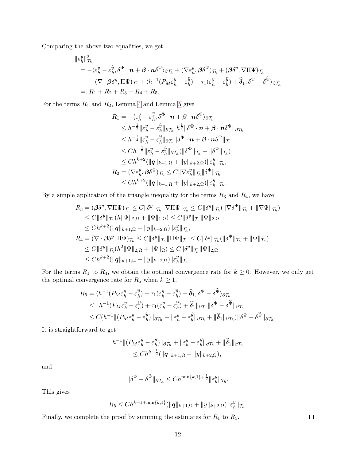Comparing the above two equalities, we get

$$
\begin{split} \|\varepsilon_h^y\|_{\mathcal{T}_h}^2 \\ &= -\langle \varepsilon_h^y - \varepsilon_h^{\widehat{y}}, \delta^{\boldsymbol{\Phi}} \cdot \boldsymbol{n} + \boldsymbol{\beta} \cdot \boldsymbol{n} \delta^{\Psi} \rangle_{\partial \mathcal{T}_h} + (\nabla \varepsilon_h^y, \boldsymbol{\beta} \delta^{\Psi})_{\mathcal{T}_h} + (\boldsymbol{\beta} \delta^y, \nabla \Pi \Psi)_{\mathcal{T}_h} \\ &+ (\nabla \cdot \boldsymbol{\beta} \delta^y, \Pi \Psi)_{\mathcal{T}_h} + \langle h^{-1} (P_M \varepsilon_h^y - \varepsilon_h^{\widehat{y}}) + \tau_1 (\varepsilon_h^y - \varepsilon_h^{\widehat{y}}) + \widehat{\boldsymbol{\delta}}_1, \delta^{\Psi} - \delta^{\widehat{\Psi}} \rangle_{\partial \mathcal{T}_h} \\ =: R_1 + R_2 + R_3 + R_4 + R_5. \end{split}
$$

For the terms  $R_1$  and  $R_2$ , Lemma [4](#page-8-0) and Lemma [5](#page-8-1) give

$$
R_1 = -\langle \varepsilon_h^y - \varepsilon_h^{\widehat{y}}, \delta^{\Phi} \cdot \boldsymbol{n} + \boldsymbol{\beta} \cdot \boldsymbol{n} \delta^{\Psi} \rangle_{\partial \mathcal{T}_h}
$$
  
\n
$$
\leq h^{-\frac{1}{2}} \| \varepsilon_h^y - \varepsilon_h^{\widehat{y}} \|_{\partial \mathcal{T}_h} h^{\frac{1}{2}} \| \delta^{\Phi} \cdot \boldsymbol{n} + \boldsymbol{\beta} \cdot \boldsymbol{n} \delta^{\Psi} \|_{\partial \mathcal{T}_h}
$$
  
\n
$$
\leq h^{-\frac{1}{2}} \| \varepsilon_h^y - \varepsilon_h^{\widehat{y}} \|_{\partial \mathcal{T}_h} \| \delta^{\Phi} \cdot \boldsymbol{n} + \boldsymbol{\beta} \cdot \boldsymbol{n} \delta^{\Psi} \|_{\mathcal{T}_h}
$$
  
\n
$$
\leq Ch^{-\frac{1}{2}} \| \varepsilon_h^y - \varepsilon_h^{\widehat{y}} \|_{\partial \mathcal{T}_h} (\| \delta^{\Phi} \|_{\mathcal{T}_h} + \| \delta^{\Psi} \|_{\mathcal{T}_h})
$$
  
\n
$$
\leq Ch^{k+2} (\| \boldsymbol{q} \|_{k+1,\Omega} + \| \boldsymbol{y} \|_{k+2,\Omega}) \| \varepsilon_h^y \|_{\mathcal{T}_h},
$$
  
\n
$$
R_2 = (\nabla \varepsilon_h^y, \boldsymbol{\beta} \delta^{\Psi})_{\mathcal{T}_h} \leq C \| \nabla \varepsilon_h^y \|_{\mathcal{T}_h} \| \delta^{\Psi} \|_{\mathcal{T}_h}
$$
  
\n
$$
\leq Ch^{k+2} (\| \boldsymbol{q} \|_{k+1,\Omega} + \| \boldsymbol{y} \|_{k+2,\Omega}) \| \varepsilon_h^y \|_{\mathcal{T}_h}.
$$

By a simple application of the triangle inequality for the terms  $R_3$  and  $R_4$ , we have

$$
R_3 = (\beta \delta^y, \nabla \Pi \Psi)_{\mathcal{T}_h} \leq C \|\delta^y\|_{\mathcal{T}_h} \|\nabla \Pi \Psi\|_{\mathcal{T}_h} \leq C \|\delta^y\|_{\mathcal{T}_h} (\|\nabla \delta^{\Psi}\|_{\mathcal{T}_h} + \|\nabla \Psi\|_{\mathcal{T}_h})
$$
  
\n
$$
\leq C \|\delta^y\|_{\mathcal{T}_h} (h \|\Psi\|_{2,\Omega} + \|\Psi\|_{1,\Omega}) \leq C \|\delta^y\|_{\mathcal{T}_h} \|\Psi\|_{2,\Omega}
$$
  
\n
$$
\leq Ch^{k+2} (\|q\|_{k+1,\Omega} + \|y\|_{k+2,\Omega}) \|\varepsilon_h^y\|_{\mathcal{T}_h},
$$
  
\n
$$
R_4 = (\nabla \cdot \beta \delta^y, \Pi \Psi)_{\mathcal{T}_h} \leq C \|\delta^y\|_{\mathcal{T}_h} \|\Pi \Psi\|_{\mathcal{T}_h} \leq C \|\delta^y\|_{\mathcal{T}_h} (\|\delta^{\Psi}\|_{\mathcal{T}_h} + \|\Psi\|_{\mathcal{T}_h})
$$
  
\n
$$
\leq C \|\delta^y\|_{\mathcal{T}_h} (h^2 \|\Psi\|_{2,\Omega} + \|\Psi\|_{\Omega}) \leq C \|\delta^y\|_{\mathcal{T}_h} \|\Psi\|_{2,\Omega}
$$
  
\n
$$
\leq Ch^{k+2} (\|q\|_{k+1,\Omega} + \|y\|_{k+2,\Omega}) \|\varepsilon_h^y\|_{\mathcal{T}_h}.
$$

For the terms  $R_1$  to  $R_4$ , we obtain the optimal convergence rate for  $k \geq 0$ . However, we only get the optimal convergence rate for  $R_5$  when  $k \geq 1$ .

$$
R_5 = \langle h^{-1}(P_M \varepsilon_h^y - \varepsilon_h^{\widehat{y}}) + \tau_1 (\varepsilon_h^y - \varepsilon_h^{\widehat{y}}) + \widehat{\delta}_1, \delta^{\Psi} - \delta^{\widehat{\Psi}} \rangle_{\partial \mathcal{T}_h}
$$
  
\n
$$
\leq \|h^{-1}(P_M \varepsilon_h^y - \varepsilon_h^{\widehat{y}}) + \tau_1 (\varepsilon_h^y - \varepsilon_h^{\widehat{y}}) + \widehat{\delta}_1 \|_{\partial \mathcal{T}_h} \| \delta^{\Psi} - \delta^{\widehat{\Psi}} \|_{\partial \mathcal{T}_h}
$$
  
\n
$$
\leq C (h^{-1} \| (P_M \varepsilon_h^y - \varepsilon_h^{\widehat{y}}) \|_{\partial \mathcal{T}_h} + \| \varepsilon_h^y - \varepsilon_h^{\widehat{y}} \|_{\partial \mathcal{T}_h} + \| \widehat{\delta}_1 \|_{\partial \mathcal{T}_h}) \| \delta^{\Psi} - \delta^{\widehat{\Psi}} \|_{\partial \mathcal{T}_h}.
$$

It is straightforward to get

$$
h^{-1} \|(P_M \varepsilon_h^y - \varepsilon_h^{\widehat{y}})\|_{\partial \mathcal{T}_h} + \|\varepsilon_h^y - \varepsilon_h^{\widehat{y}}\|_{\partial \mathcal{T}_h} + \|\widehat{\boldsymbol{\delta}}_1\|_{\partial \mathcal{T}_h}
$$
  

$$
\leq Ch^{k + \frac{1}{2}} (\|\boldsymbol{q}\|_{k+1,\Omega} + \|\boldsymbol{y}\|_{k+2,\Omega}),
$$

and

$$
\|\delta^{\Psi}-\delta^{\widehat{\Psi}}\|_{\partial \mathcal{T}_h}\leq Ch^{\min\{k,1\}+\frac{1}{2}}\|\varepsilon_h^y\|_{\mathcal{T}_h}.
$$

This gives

$$
R_5 \leq Ch^{k+1+\min\{k,1\}}(\|q\|_{k+1,\Omega} + \|y\|_{k+2,\Omega})\|\varepsilon_h^y\|_{\mathcal{T}_h}
$$

Finally, we complete the proof by summing the estimates for  $R_1$  to  $R_5$ .

 $\Box$ 

.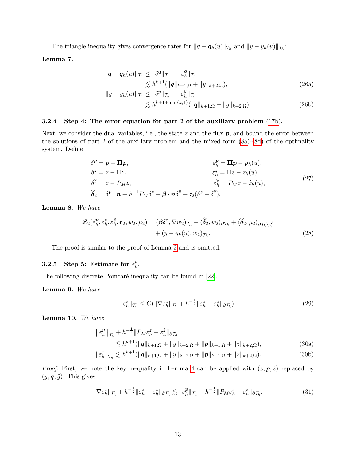The triangle inequality gives convergence rates for  $\|\bm{q} - \bm{q}_h(u)\|_{\mathcal{T}_h}$  and  $\|y - y_h(u)\|_{\mathcal{T}_h}$ :

<span id="page-12-7"></span>Lemma 7.

$$
\|\mathbf{q} - \mathbf{q}_h(u)\|_{\mathcal{T}_h} \le \|\delta^{\mathbf{q}}\|_{\mathcal{T}_h} + \|\varepsilon_h^{\mathbf{q}}\|_{\mathcal{T}_h} \n\lesssim h^{k+1}(\|\mathbf{q}\|_{k+1,\Omega} + \|y\|_{k+2,\Omega}), \n\|y - y_h(u)\|_{\mathcal{T}_h} \le \|\delta^y\|_{\mathcal{T}_h} + \|\varepsilon_h^y\|_{\mathcal{T}_h}
$$
\n(26a)

$$
\lesssim h^{k+1+\min\{k,1\}}(\|\mathbf{q}\|_{k+1,\Omega} + \|y\|_{k+2,\Omega}).\tag{26b}
$$

### 3.2.4 Step 4: The error equation for part 2 of the auxiliary problem [\(17b\)](#page-6-2).

Next, we consider the dual variables, i.e., the state  $z$  and the flux  $p$ , and bound the error between the solutions of part 2 of the auxiliary problem and the mixed form [\(8a\)](#page-2-1)-[\(8d\)](#page-2-2) of the optimality system. Define

$$
\delta^{p} = p - \Pi p, \qquad \varepsilon^{p}_{h} = \Pi p - p_{h}(u),
$$
  
\n
$$
\delta^{z} = z - \Pi z, \qquad \varepsilon^{z}_{h} = \Pi z - z_{h}(u),
$$
  
\n
$$
\delta^{z} = z - P_{M} z, \qquad \varepsilon^{z}_{h} = P_{M} z - \hat{z}_{h}(u),
$$
  
\n
$$
\hat{\delta}_{2} = \delta^{p} \cdot n + h^{-1} P_{M} \delta^{z} + \beta \cdot n \delta^{z} + \tau_{2} (\delta^{z} - \delta^{z}).
$$
\n(27)

<span id="page-12-1"></span>Lemma 8. We have

$$
\mathscr{B}_{2}(\varepsilon_{h}^{p}, \varepsilon_{h}^{z}, \varepsilon_{h}^{z}, \mathbf{r}_{2}, w_{2}, \mu_{2}) = (\boldsymbol{\beta} \delta^{z}, \nabla w_{2})_{\mathcal{T}_{h}} - \langle \widehat{\boldsymbol{\delta}}_{2}, w_{2} \rangle_{\partial \mathcal{T}_{h}} + \langle \widehat{\boldsymbol{\delta}}_{2}, \mu_{2} \rangle_{\partial \mathcal{T}_{h} \setminus \varepsilon_{h}^{\partial}} + (y - y_{h}(u), w_{2})_{\mathcal{T}_{h}}.
$$
\n(28)

The proof is similar to the proof of Lemma [3](#page-7-1) and is omitted.

#### **3.2.5** Step 5: Estimate for  $\varepsilon_h^p$  $_{h}^p.$

The following discrete Poincaré inequality can be found in [\[22\]](#page-21-9).

Lemma 9. We have

<span id="page-12-5"></span><span id="page-12-4"></span><span id="page-12-3"></span><span id="page-12-2"></span><span id="page-12-0"></span>
$$
\|\varepsilon_h^z\|_{\mathcal{T}_h} \le C(\|\nabla \varepsilon_h^z\|_{\mathcal{T}_h} + h^{-\frac{1}{2}} \|\varepsilon_h^z - \varepsilon_h^{\widehat{z}}\|_{\partial \mathcal{T}_h}).\tag{29}
$$

<span id="page-12-6"></span>Lemma 10. We have

$$
\|\varepsilon_h^{\mathbf{p}}\|_{\mathcal{T}_h} + h^{-\frac{1}{2}} \|P_M \varepsilon_h^z - \varepsilon_h^{\widehat{z}}\|_{\partial \mathcal{T}_h}
$$
  
\$\leq h^{k+1}(\|\mathbf{q}\|\_{k+1,\Omega} + \|y\|\_{k+2,\Omega} + \|\mathbf{p}\|\_{k+1,\Omega} + \|z\|\_{k+2,\Omega}), \qquad (30a)\$

$$
\|\varepsilon_h^z\|_{\mathcal{T}_h} \lesssim h^{k+1}(\|\mathbf{q}\|_{k+1,\Omega} + \|y\|_{k+2,\Omega} + \|\mathbf{p}\|_{k+1,\Omega} + \|z\|_{k+2,\Omega}).\tag{30b}
$$

*Proof.* First, we note the key inequality in Lemma [4](#page-8-0) can be applied with  $(z, p, \hat{z})$  replaced by  $(y, \boldsymbol{q}, \hat{y})$ . This gives

$$
\|\nabla \varepsilon_h^{\tilde{z}}\|_{\mathcal{T}_h} + h^{-\frac{1}{2}} \|\varepsilon_h^{\tilde{z}} - \varepsilon_h^{\hat{z}}\|_{\partial \mathcal{T}_h} \lesssim \|\varepsilon_h^{\mathbf{p}}\|_{\mathcal{T}_h} + h^{-\frac{1}{2}} \|P_M \varepsilon_h^{\tilde{z}} - \varepsilon_h^{\hat{z}}\|_{\partial \mathcal{T}_h}.
$$
 (31)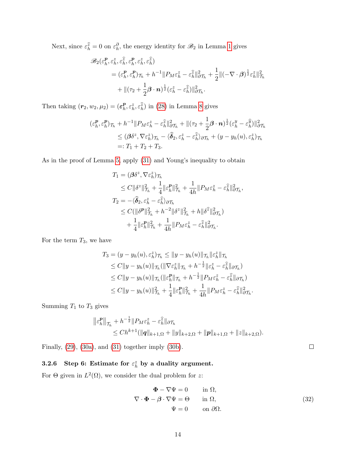Next, since  $\varepsilon_h^{\hat{z}} = 0$  on  $\varepsilon_h^{\partial}$ , the energy identity for  $\mathscr{B}_2$  in Lemma [1](#page-4-4) gives

$$
\mathscr{B}_{2}(\varepsilon_{h}^{p}, \varepsilon_{h}^{z}, \varepsilon_{h}^{\widehat{z}}, \varepsilon_{h}^{p}, \varepsilon_{h}^{z}, \varepsilon_{h}^{\widehat{z}})
$$
\n
$$
= (\varepsilon_{h}^{p}, \varepsilon_{h}^{p})\tau_{h} + h^{-1} \|P_{M}\varepsilon_{h}^{z} - \varepsilon_{h}^{\widehat{z}}\|_{\partial \mathcal{T}_{h}}^{2} + \frac{1}{2} \|(-\nabla \cdot \boldsymbol{\beta})^{\frac{1}{2}} \varepsilon_{h}^{z}\|_{\mathcal{T}_{h}}^{2}
$$
\n
$$
+ \|(\tau_{2} + \frac{1}{2}\boldsymbol{\beta} \cdot \mathbf{n})^{\frac{1}{2}} (\varepsilon_{h}^{z} - \varepsilon_{h}^{\widehat{z}}) \|_{\partial \mathcal{T}_{h}}^{2}.
$$

Then taking  $(r_2, w_2, \mu_2) = (\varepsilon_h^p)$  $_{h}^{p}, \varepsilon_{h}^{z}, \varepsilon_{h}^{\widehat{z}}$  in [\(28\)](#page-12-0) in Lemma [8](#page-12-1) gives

$$
\begin{split} (\varepsilon_h^{\mathbf{p}}, \varepsilon_h^{\mathbf{p}})_{\mathcal{T}_h} + h^{-1} \| P_M \varepsilon_h^z - \varepsilon_h^{\widehat{z}} \|_{\partial \mathcal{T}_h}^2 + \| (\tau_2 + \frac{1}{2} \boldsymbol{\beta} \cdot \mathbf{n})^{\frac{1}{2}} (\varepsilon_h^y - \varepsilon_h^{\widehat{y}}) \|_{\partial \mathcal{T}_h}^2 \\ &\leq (\boldsymbol{\beta} \delta^z, \nabla \varepsilon_h^z)_{\mathcal{T}_h} - \langle \widehat{\boldsymbol{\delta}}_2, \varepsilon_h^z - \varepsilon_h^{\widehat{z}} \rangle_{\partial \mathcal{T}_h} + (y - y_h(u), \varepsilon_h^z)_{\mathcal{T}_h} \\ &=: T_1 + T_2 + T_3. \end{split}
$$

As in the proof of Lemma [5,](#page-8-1) apply [\(31\)](#page-12-2) and Young's inequality to obtain

$$
\begin{aligned} T_1 &= (\pmb{\beta}\delta^z, \nabla\varepsilon_h^z)_{\mathcal{T}_h} \\ &\leq C\|\delta^z\|_{\mathcal{T}_h}^2 + \frac{1}{4}\|\varepsilon_h^{\pmb{P}}\|_{\mathcal{T}_h}^2 + \frac{1}{4h}\|P_M\varepsilon_h^z - \varepsilon_h^{\widehat{z}}\|_{\partial\mathcal{T}_h}^2, \\ T_2 &= -\langle\widehat{\pmb{\delta}}_2, \varepsilon_h^z - \varepsilon_h^{\widehat{z}}\rangle_{\partial\mathcal{T}_h} \\ &\leq C(\|\delta^{\pmb{P}}\|_{\mathcal{T}_h}^2 + h^{-2}\|\delta^z\|_{\mathcal{T}_h}^2 + h\|\delta^{\widehat{z}}\|_{\partial\mathcal{T}_h}^2) \\ &\quad + \frac{1}{4}\|\varepsilon_h^{\pmb{P}}\|_{\mathcal{T}_h}^2 + \frac{1}{4h}\|P_M\varepsilon_h^z - \varepsilon_h^{\widehat{z}}\|_{\partial\mathcal{T}_h}^2. \end{aligned}
$$

For the term  $T_3$ , we have

$$
T_3 = (y - y_h(u), \varepsilon_h^z)_{\mathcal{T}_h} \le ||y - y_h(u)||_{\mathcal{T}_h} ||\varepsilon_h^z||_{\mathcal{T}_h}
$$
  
\n
$$
\le C||y - y_h(u)||_{\mathcal{T}_h} (||\nabla \varepsilon_h^z||_{\mathcal{T}_h} + h^{-\frac{1}{2}}||\varepsilon_h^z - \varepsilon_h^{\widehat{z}}||_{\partial \mathcal{T}_h})
$$
  
\n
$$
\le C||y - y_h(u)||_{\mathcal{T}_h} (||\varepsilon_h^p||_{\mathcal{T}_h} + h^{-\frac{1}{2}}||P_M \varepsilon_h^z - \varepsilon_h^{\widehat{z}}||_{\partial \mathcal{T}_h})
$$
  
\n
$$
\le C||y - y_h(u)||_{\mathcal{T}_h}^2 + \frac{1}{4}||\varepsilon_h^p||_{\mathcal{T}_h}^2 + \frac{1}{4h}||P_M \varepsilon_h^z - \varepsilon_h^{\widehat{z}}||_{\partial \mathcal{T}_h}^2.
$$

Summing  $T_1$  to  $T_3$  gives

$$
\|\varepsilon_h^p\|_{\mathcal{T}_h} + h^{-\frac{1}{2}} \|P_M \varepsilon_h^z - \varepsilon_h^{\widehat{z}}\|_{\partial \mathcal{T}_h} \leq Ch^{k+1} (\|q\|_{k+1,\Omega} + \|y\|_{k+2,\Omega} + \|p\|_{k+1,\Omega} + \|z\|_{k+2,\Omega}).
$$

Finally, [\(29\)](#page-12-3), [\(30a\)](#page-12-4), and [\(31\)](#page-12-2) together imply [\(30b\)](#page-12-5).

# 3.2.6 Step 6: Estimate for  $\varepsilon_h^z$  by a duality argument.

<span id="page-13-0"></span>For  $\Theta$  given in  $L^2(\Omega)$ , we consider the dual problem for z:

$$
\Phi - \nabla \Psi = 0 \quad \text{in } \Omega,
$$
  
\n
$$
\nabla \cdot \Phi - \beta \cdot \nabla \Psi = \Theta \quad \text{in } \Omega,
$$
  
\n
$$
\Psi = 0 \quad \text{on } \partial \Omega.
$$
\n(32)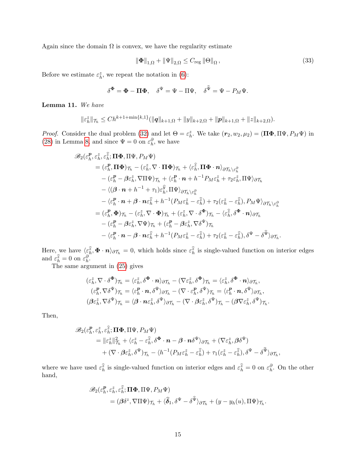Again since the domain  $\Omega$  is convex, we have the regularity estimate

$$
\|\Phi\|_{1,\Omega} + \|\Psi\|_{2,\Omega} \le C_{\text{reg}} \|\Theta\|_{\Omega},\tag{33}
$$

Before we estimate  $\varepsilon_h^z$ , we repeat the notation in [\(6\)](#page-10-0):

$$
\delta^{\Phi} = \Phi - \Pi \Phi, \quad \delta^{\Psi} = \Psi - \Pi \Psi, \quad \delta^{\Psi} = \Psi - P_M \Psi.
$$

Lemma 11. We have

$$
\|\varepsilon_h^z\|_{\mathcal{T}_h} \le Ch^{k+1+\min\{k,1\}}(\|q\|_{k+1,\Omega}+\|y\|_{k+2,\Omega}+\|p\|_{k+1,\Omega}+\|z\|_{k+2,\Omega}).
$$

*Proof.* Consider the dual problem [\(32\)](#page-13-0) and let  $\Theta = \varepsilon_h^z$ . We take  $(r_2, w_2, \mu_2) = (\Pi \Phi, \Pi \Psi, P_M \Psi)$  in [\(28\)](#page-12-0) in Lemma [8,](#page-12-1) and since  $\Psi = 0$  on  $\varepsilon_h^{\partial}$ , we have

$$
\mathscr{B}_{2}(\varepsilon_{h}^{p},\varepsilon_{h}^{z},\varepsilon_{h}^{z};\Pi\Phi,\Pi\Psi,P_{M}\Psi) \n= (\varepsilon_{h}^{p},\Pi\Phi)\tau_{h} - (\varepsilon_{h}^{z},\nabla\cdot\Pi\Phi)\tau_{h} + \langle \varepsilon_{h}^{z},\Pi\Phi\cdot\boldsymbol{n}\rangle_{\partial\mathcal{T}_{h}\setminus\varepsilon_{h}^{\partial}} \n- (\varepsilon_{h}^{p} - \beta\varepsilon_{h}^{z},\nabla\Pi\Psi)\tau_{h} + \langle \varepsilon_{h}^{p}\cdot\boldsymbol{n} + h^{-1}P_{M}\varepsilon_{h}^{z} + \tau_{2}\varepsilon_{h}^{z},\Pi\Psi\rangle_{\partial\mathcal{T}_{h}} \n- \langle(\beta\cdot\boldsymbol{n} + h^{-1} + \tau_{1})\varepsilon_{h}^{\widehat{y}},\Pi\Psi\rangle_{\partial\mathcal{T}_{h}\setminus\varepsilon_{h}^{\partial}} \n- \langle \varepsilon_{h}^{p}\cdot\boldsymbol{n} + \beta\cdot\boldsymbol{n}\varepsilon_{h}^{\widehat{z}} + h^{-1}(P_{M}\varepsilon_{h}^{z} - \varepsilon_{h}^{\widehat{z}}) + \tau_{2}(\varepsilon_{h}^{z} - \varepsilon_{h}^{\widehat{z}}),P_{M}\Psi\rangle_{\partial\mathcal{T}_{h}\setminus\varepsilon_{h}^{\partial}} \n= (\varepsilon_{h}^{p},\Phi)\tau_{h} - (\varepsilon_{h}^{z},\nabla\cdot\Phi)\tau_{h} + (\varepsilon_{h}^{z},\nabla\cdot\delta^{\Phi})\tau_{h} - \langle \varepsilon_{h}^{\widehat{z}},\delta^{\Phi}\cdot\boldsymbol{n}\rangle_{\partial\mathcal{T}_{h}} \n- (\varepsilon_{h}^{p} - \beta\varepsilon_{h}^{z},\nabla\Psi)\tau_{h} + (\varepsilon_{h}^{p} - \beta\varepsilon_{h}^{z},\nabla\delta^{\Psi})\tau_{h} \n- \langle \varepsilon_{h}^{p}\cdot\boldsymbol{n} - \beta\cdot\boldsymbol{n}\varepsilon_{h}^{\widehat{z}} + h^{-1}(P_{M}\varepsilon_{h}^{z} - \varepsilon_{h}^{\widehat{z}}) + \tau_{2}(\varepsilon_{h}^{z} - \varepsilon_{h
$$

Here, we have  $\langle \varepsilon_h^2, \Phi \cdot n \rangle_{\partial \mathcal{T}_h} = 0$ , which holds since  $\varepsilon_h^2$  is single-valued function on interior edges and  $\varepsilon_h^{\hat{z}} = 0$  on  $\varepsilon_h^{\partial}$ .

The same argument in [\(25\)](#page-10-1) gives

$$
(\varepsilon_h^z, \nabla \cdot \delta^{\Phi})_{\mathcal{T}_h} = \langle \varepsilon_h^z, \delta^{\Phi} \cdot \mathbf{n} \rangle_{\partial \mathcal{T}_h} - (\nabla \varepsilon_h^z, \delta^{\Phi})_{\mathcal{T}_h} = \langle \varepsilon_h^z, \delta^{\Phi} \cdot \mathbf{n} \rangle_{\partial \mathcal{T}_h},
$$
  
\n
$$
(\varepsilon_h^p, \nabla \delta^{\Psi})_{\mathcal{T}_h} = \langle \varepsilon_h^p \cdot \mathbf{n}, \delta^{\Psi} \rangle_{\partial \mathcal{T}_h} - (\nabla \cdot \varepsilon_h^p, \delta^{\Psi})_{\mathcal{T}_h} = \langle \varepsilon_h^p \cdot \mathbf{n}, \delta^{\Psi} \rangle_{\partial \mathcal{T}_h},
$$
  
\n
$$
(\beta \varepsilon_h^z, \nabla \delta^{\Psi})_{\mathcal{T}_h} = \langle \beta \cdot \mathbf{n} \varepsilon_h^z, \delta^{\Psi} \rangle_{\partial \mathcal{T}_h} - (\nabla \cdot \beta \varepsilon_h^z, \delta^{\Psi})_{\mathcal{T}_h} - (\beta \nabla \varepsilon_h^z, \delta^{\Psi})_{\mathcal{T}_h}.
$$

Then,

$$
\mathscr{B}_{2}(\varepsilon_{h}^{p},\varepsilon_{h}^{z},\varepsilon_{h}^{\widehat{z}};\mathbf{\Pi\Phi},\Pi\Psi,P_{M}\Psi) = \|\varepsilon_{h}^{z}\|_{\mathcal{T}_{h}}^{2} + \langle \varepsilon_{h}^{z} - \varepsilon_{h}^{\widehat{z}},\delta^{\mathbf{\Phi}}\cdot\mathbf{n} - \boldsymbol{\beta}\cdot\mathbf{n}\delta^{\Psi}\rangle_{\partial\mathcal{T}_{h}} + (\nabla\varepsilon_{h}^{z},\boldsymbol{\beta}\delta^{\Psi}) + (\nabla\cdot\boldsymbol{\beta}\varepsilon_{h}^{z},\delta^{\Psi})_{\mathcal{T}_{h}} - \langle h^{-1}(P_{M}\varepsilon_{h}^{z} - \varepsilon_{h}^{\widehat{z}}) + \tau_{1}(\varepsilon_{h}^{z} - \varepsilon_{h}^{\widehat{z}}),\delta^{\Psi} - \delta^{\widehat{\Psi}}\rangle_{\partial\mathcal{T}_{h}},
$$

where we have used  $\varepsilon_h^{\hat{z}}$  is single-valued function on interior edges and  $\varepsilon_h^{\hat{z}} = 0$  on  $\varepsilon_h^{\partial}$ . On the other hand,

$$
\mathscr{B}_{2}(\varepsilon_{h}^{p}, \varepsilon_{h}^{z}, \varepsilon_{h}^{z}; \Pi \Phi, \Pi \Psi, P_{M} \Psi) = (\beta \delta^{z}, \nabla \Pi \Psi)_{\mathcal{T}_{h}} + \langle \widehat{\delta}_{1}, \delta^{\Psi} - \delta^{\widehat{\Psi}} \rangle_{\partial \mathcal{T}_{h}} + (y - y_{h}(u), \Pi \Psi)_{\mathcal{T}_{h}}.
$$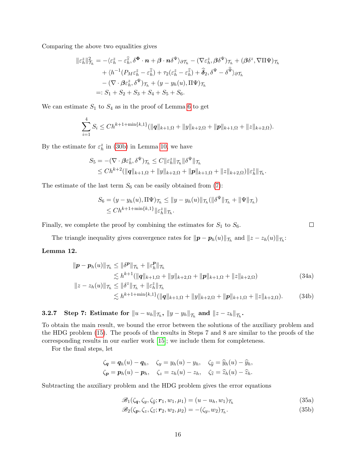Comparing the above two equalities gives

$$
\|\varepsilon_h^{\tilde{z}}\|_{\mathcal{T}_h}^2 = -\langle \varepsilon_h^{\tilde{z}} - \varepsilon_h^{\tilde{z}}, \delta^{\Phi} \cdot \boldsymbol{n} + \boldsymbol{\beta} \cdot \boldsymbol{n} \delta^{\Psi} \rangle_{\partial \mathcal{T}_h} - (\nabla \varepsilon_h^{\tilde{z}}, \boldsymbol{\beta} \delta^{\Psi})_{\mathcal{T}_h} + (\boldsymbol{\beta} \delta^z, \nabla \Pi \Psi)_{\mathcal{T}_h} + \langle h^{-1} (P_M \varepsilon_h^{\tilde{z}} - \varepsilon_h^{\tilde{z}}) + \tau_2 (\varepsilon_h^{\tilde{z}} - \varepsilon_h^{\tilde{z}}) + \hat{\boldsymbol{\delta}}_2, \delta^{\Psi} - \delta^{\tilde{\Psi}} \rangle_{\partial \mathcal{T}_h} - (\nabla \cdot \boldsymbol{\beta} \varepsilon_h^{\tilde{z}}, \delta^{\Psi})_{\mathcal{T}_h} + (y - y_h(u), \Pi \Psi)_{\mathcal{T}_h} =: S_1 + S_2 + S_3 + S_4 + S_5 + S_6.
$$

We can estimate  $S_1$  to  $S_4$  as in the proof of Lemma [6](#page-10-0) to get

$$
\sum_{i=1}^{4} S_i \leq Ch^{k+1+\min\{k,1\}}(\|q\|_{k+1,\Omega}+\|y\|_{k+2,\Omega}+\|p\|_{k+1,\Omega}+\|z\|_{k+2,\Omega}).
$$

By the estimate for  $\varepsilon_h^z$  in [\(30b\)](#page-12-5) in Lemma [10,](#page-12-6) we have

$$
S_5 = -(\nabla \cdot \beta \varepsilon_h^z, \delta^{\Psi}) \tau_h \leq C \|\varepsilon_h^z\| \tau_h \|\delta^{\Psi}\| \tau_h
$$
  

$$
\leq Ch^{k+2}(\|\mathbf{q}\|_{k+1,\Omega} + \|\mathbf{y}\|_{k+2,\Omega} + \|\mathbf{p}\|_{k+1,\Omega} + \|z\|_{k+2,\Omega}) \|\varepsilon_h^z\| \tau_h.
$$

The estimate of the last term  $S_6$  can be easily obtained from [\(7\)](#page-12-7):

$$
S_6 = (y - y_h(u), \Pi \Psi)_{\mathcal{T}_h} \le ||y - y_h(u)||_{\mathcal{T}_h} (||\delta^{\Psi}||_{\mathcal{T}_h} + ||\Psi||_{\mathcal{T}_h})
$$
  
\$\leq Ch^{k+1+\min\{k,1\}} ||\varepsilon\_h^z||\_{\mathcal{T}\_h}\$.

Finally, we complete the proof by combining the estimates for  $S_1$  to  $S_6$ .

The triangle inequality gives convergence rates for  $\|\bm{p}-\bm{p}_h(u)\|_{\mathcal{T}_h}$  and  $\|z-z_h(u)\|_{\mathcal{T}_h}$ :

### <span id="page-15-0"></span>Lemma 12.

$$
\|\mathbf{p} - \mathbf{p}_h(u)\|_{\mathcal{T}_h} \le \|\delta^{\mathbf{p}}\|_{\mathcal{T}_h} + \|\varepsilon_h^{\mathbf{p}}\|_{\mathcal{T}_h}
$$
  
\n
$$
\lesssim h^{k+1}(\|\mathbf{q}\|_{k+1,\Omega} + \|y\|_{k+2,\Omega} + \|\mathbf{p}\|_{k+1,\Omega} + \|z\|_{k+2,\Omega})
$$
  
\n
$$
\|z - z_h(u)\|_{\mathcal{T}_h} \le \|\delta^z\|_{\mathcal{T}_h} + \|\varepsilon_h^z\|_{\mathcal{T}_h}
$$
  
\n
$$
\lesssim h^{k+1+\min\{k,1\}}(\|\mathbf{q}\|_{k+1,\Omega} + \|y\|_{k+2,\Omega} + \|\mathbf{p}\|_{k+1,\Omega} + \|z\|_{k+2,\Omega}).
$$
 (34b)

# $\textbf{3.2.7} \quad \textbf{Step 7: Estimate for } \|u-u_h\|_{\mathcal{T}_h}, \ \|y-y_h\|_{\mathcal{T}_h} \textbf{ and } \|z-z_h\|_{\mathcal{T}_h}.$

To obtain the main result, we bound the error between the solutions of the auxiliary problem and the HDG problem [\(15\)](#page-4-0). The proofs of the results in Steps 7 and 8 are similar to the proofs of the corresponding results in our earlier work [\[15\]](#page-20-6); we include them for completeness.

For the final steps, let

$$
\zeta_{\boldsymbol{q}} = \boldsymbol{q}_h(u) - \boldsymbol{q}_h, \quad \zeta_{\boldsymbol{y}} = y_h(u) - y_h, \quad \zeta_{\widehat{\boldsymbol{y}}} = \widehat{y}_h(u) - \widehat{y}_h, \n\zeta_{\boldsymbol{p}} = \boldsymbol{p}_h(u) - \boldsymbol{p}_h, \quad \zeta_{\boldsymbol{z}} = z_h(u) - z_h, \quad \zeta_{\widehat{\boldsymbol{z}}} = \widehat{z}_h(u) - \widehat{z}_h.
$$

Subtracting the auxiliary problem and the HDG problem gives the error equations

<span id="page-15-1"></span>
$$
\mathscr{B}_1(\zeta_\mathbf{q}, \zeta_y, \zeta_{\widehat{y}}; \mathbf{r}_1, w_1, \mu_1) = (u - u_h, w_1) \tau_h \tag{35a}
$$

<span id="page-15-2"></span>
$$
\mathscr{B}_2(\zeta_p, \zeta_z, \zeta_{\widehat{z}}; \mathbf{r}_2, w_2, \mu_2) = -(\zeta_y, w_2)_{\mathcal{T}_h}.\tag{35b}
$$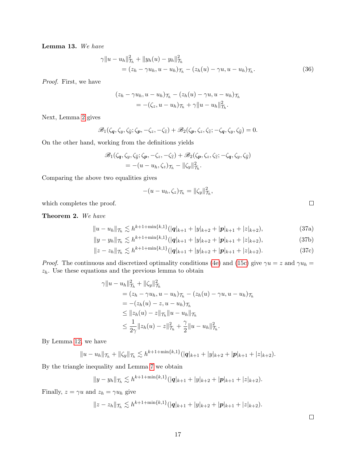Lemma 13. We have

$$
\gamma \|u - u_h\|_{\mathcal{T}_h}^2 + \|y_h(u) - y_h\|_{\mathcal{T}_h}^2
$$
  
=  $(z_h - \gamma u_h, u - u_h)_{\mathcal{T}_h} - (z_h(u) - \gamma u, u - u_h)_{\mathcal{T}_h}.$  (36)

Proof. First, we have

$$
(z_h - \gamma u_h, u - u_h)\tau_h - (z_h(u) - \gamma u, u - u_h)\tau_h
$$
  
= -(\zeta\_z, u - u\_h)\tau\_h + \gamma ||u - u\_h||^2\_{\tau\_h}

Next, Lemma [2](#page-6-0) gives

$$
\mathscr{B}_1(\zeta_{\boldsymbol{q}},\zeta_{\boldsymbol{y}},\zeta_{\widehat{\boldsymbol{y}}};\zeta_{\boldsymbol{p}},-\zeta_z,-\zeta_{\widehat{z}})+\mathscr{B}_2(\zeta_{\boldsymbol{p}},\zeta_z,\zeta_{\widehat{z}};-\zeta_{\boldsymbol{q}},\zeta_{\boldsymbol{y}},\zeta_{\widehat{\boldsymbol{y}}})=0.
$$

On the other hand, working from the definitions yields

$$
\mathscr{B}_1(\zeta_q, \zeta_y, \zeta_{\widehat{y}}; \zeta_p, -\zeta_z, -\zeta_{\widehat{z}}) + \mathscr{B}_2(\zeta_p, \zeta_z, \zeta_{\widehat{z}}; -\zeta_q, \zeta_y, \zeta_{\widehat{y}})
$$
  
=  $-(u - u_h, \zeta_z)_{\mathcal{T}_h} - ||\zeta_y||_{\mathcal{T}_h}^2.$ 

Comparing the above two equalities gives

$$
-(u-u_h,\zeta_z)\tau_h=\|\zeta_y\|_{\mathcal{T}_h}^2,
$$

which completes the proof.

Theorem 2. We have

$$
||u - u_h||_{\mathcal{T}_h} \lesssim h^{k+1 + \min\{k, 1\}} (|\mathbf{q}|_{k+1} + |y|_{k+2} + |\mathbf{p}|_{k+1} + |z|_{k+2}), \tag{37a}
$$

$$
||y - y_h||_{\mathcal{T}_h} \lesssim h^{k+1 + \min\{k, 1\}} (|\mathbf{q}|_{k+1} + |y|_{k+2} + |\mathbf{p}|_{k+1} + |z|_{k+2}),
$$
\n(37b)

$$
||z - z_h||_{\mathcal{T}_h} \lesssim h^{k+1+\min\{k,1\}} (|\mathbf{q}|_{k+1} + |y|_{k+2} + |\mathbf{p}|_{k+1} + |z|_{k+2}). \tag{37c}
$$

*Proof.* The continuous and discretized optimality conditions [\(4e\)](#page-1-2) and [\(15c\)](#page-4-3) give  $\gamma u = z$  and  $\gamma u_h =$  $z_h$ . Use these equations and the previous lemma to obtain

$$
\gamma \|u - u_h\|_{\mathcal{T}_h}^2 + \|\zeta_y\|_{\mathcal{T}_h}^2
$$
  
=  $(z_h - \gamma u_h, u - u_h)_{\mathcal{T}_h} - (z_h(u) - \gamma u, u - u_h)_{\mathcal{T}_h}$   
=  $-(z_h(u) - z, u - u_h)_{\mathcal{T}_h}$   
 $\leq \|z_h(u) - z\|_{\mathcal{T}_h} \|u - u_h\|_{\mathcal{T}_h}$   
 $\leq \frac{1}{2\gamma} \|z_h(u) - z\|_{\mathcal{T}_h}^2 + \frac{\gamma}{2} \|u - u_h\|_{\mathcal{T}_h}^2.$ 

By Lemma [12,](#page-15-0) we have

$$
||u-u_h||_{\mathcal{T}_h}+||\zeta_y||_{\mathcal{T}_h}\lesssim h^{k+1+\min\{k,1\}}(|q|_{k+1}+|y|_{k+2}+|p|_{k+1}+|z|_{k+2}).
$$

By the triangle inequality and Lemma [7](#page-12-7) we obtain

$$
||y-y_h||_{\mathcal{T}_h} \lesssim h^{k+1+\min\{k,1\}} (|\mathbf{q}|_{k+1}+|y|_{k+2}+|\mathbf{p}|_{k+1}+|z|_{k+2}).
$$

Finally,  $z = \gamma u$  and  $z_h = \gamma u_h$  give

$$
||z-z_h||_{\mathcal{T}_h} \lesssim h^{k+1+\min\{k,1\}} (|\mathbf{q}|_{k+1}+|y|_{k+2}+|\mathbf{p}|_{k+1}+|z|_{k+2}).
$$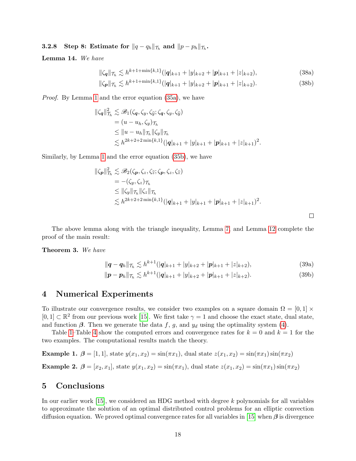# 3.2.8 Step 8: Estimate for  $\|q-q_h\|_{\mathcal{T}_h}$  and  $\|p-p_h\|_{\mathcal{T}_h}$ .

Lemma 14. We have

$$
\|\zeta_{\mathbf{q}}\|_{\mathcal{T}_h} \lesssim h^{k+1+\min\{k,1\}} (|\mathbf{q}|_{k+1} + |y|_{k+2} + |\mathbf{p}|_{k+1} + |z|_{k+2}),\tag{38a}
$$

$$
\|\zeta_{\mathbf{p}}\|_{\mathcal{T}_h} \lesssim h^{k+1+\min\{k,1\}} (|\mathbf{q}|_{k+1} + |y|_{k+2} + |\mathbf{p}|_{k+1} + |z|_{k+2}).\tag{38b}
$$

Proof. By Lemma [1](#page-4-4) and the error equation [\(35a\)](#page-15-1), we have

$$
\|\zeta_{\mathbf{q}}\|_{\mathcal{T}_h}^2 \lesssim \mathscr{B}_1(\zeta_{\mathbf{q}}, \zeta_y, \zeta_{\widehat{y}}; \zeta_{\mathbf{q}}, \zeta_y, \zeta_{\widehat{y}})
$$
  
\n
$$
= (u - u_h, \zeta_y)_{\mathcal{T}_h}
$$
  
\n
$$
\leq \|u - u_h\|_{\mathcal{T}_h} \|\zeta_y\|_{\mathcal{T}_h}
$$
  
\n
$$
\lesssim h^{2k+2+2 \min\{k, 1\}} (|\mathbf{q}|_{k+1} + |y|_{k+1} + |\mathbf{p}|_{k+1} + |z|_{k+1})^2.
$$

Similarly, by Lemma [1](#page-4-4) and the error equation [\(35b\)](#page-15-2), we have

$$
\|\zeta_{p}\|_{\mathcal{T}_{h}}^{2} \lesssim \mathscr{B}_{2}(\zeta_{p}, \zeta_{z}, \zeta_{\widehat{z}}; \zeta_{p}, \zeta_{z}, \zeta_{\widehat{z}})
$$
  
\n
$$
= -(\zeta_{y}, \zeta_{z})_{\mathcal{T}_{h}}
$$
  
\n
$$
\leq \|\zeta_{y}\|_{\mathcal{T}_{h}} \|\zeta_{z}\|_{\mathcal{T}_{h}}
$$
  
\n
$$
\lesssim h^{2k+2+2 \min\{k, 1\}} (|\boldsymbol{q}|_{k+1} + |\boldsymbol{y}|_{k+1} + |\boldsymbol{p}|_{k+1} + |z|_{k+1})^{2}.
$$

The above lemma along with the triangle inequality, Lemma [7,](#page-12-7) and Lemma [12](#page-15-0) complete the proof of the main result:

Theorem 3. We have

$$
\|\mathbf{q} - \mathbf{q}_h\|_{\mathcal{T}_h} \lesssim h^{k+1} (|\mathbf{q}|_{k+1} + |y|_{k+2} + |\mathbf{p}|_{k+1} + |z|_{k+2}), \tag{39a}
$$

 $\Box$ 

$$
\|\mathbf{p} - \mathbf{p}_h\|_{\mathcal{T}_h} \lesssim h^{k+1} (|\mathbf{q}|_{k+1} + |y|_{k+2} + |\mathbf{p}|_{k+1} + |z|_{k+2}). \tag{39b}
$$

# <span id="page-17-0"></span>4 Numerical Experiments

To illustrate our convergence results, we consider two examples on a square domain  $\Omega = [0,1] \times$  $[0,1] \subset \mathbb{R}^2$  from our previous work [\[15\]](#page-20-6). We first take  $\gamma = 1$  and choose the exact state, dual state, and function  $\beta$ . Then we generate the data f, g, and  $y_d$  using the optimality system [\(4\)](#page-1-0).

Table [1–](#page-18-0)Table [4](#page-19-3) show the computed errors and convergence rates for  $k = 0$  and  $k = 1$  for the two examples. The computational results match the theory.

<span id="page-17-2"></span><span id="page-17-1"></span>**Example 1.** 
$$
\beta = [1, 1]
$$
, state  $y(x_1, x_2) = \sin(\pi x_1)$ , dual state  $z(x_1, x_2) = \sin(\pi x_1) \sin(\pi x_2)$ \n**Example 2.**  $\beta = [x_2, x_1]$ , state  $y(x_1, x_2) = \sin(\pi x_1)$ , dual state  $z(x_1, x_2) = \sin(\pi x_1) \sin(\pi x_2)$ 

### 5 Conclusions

In our earlier work [\[15\]](#page-20-6), we considered an HDG method with degree k polynomials for all variables to approximate the solution of an optimal distributed control problems for an elliptic convection diffusion equation. We proved optimal convergence rates for all variables in [\[15\]](#page-20-6) when  $\beta$  is divergence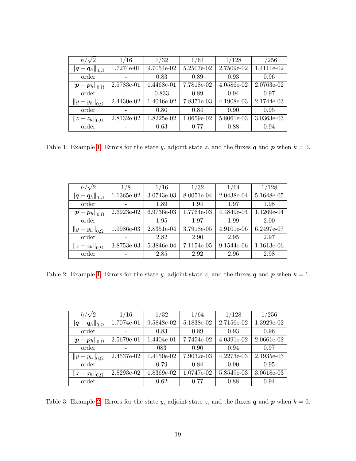| $h/\sqrt{2}$                                                | 1/16       | 1/32       | 1/64       | 1/128      | 1/256      |
|-------------------------------------------------------------|------------|------------|------------|------------|------------|
| $\left\ \boldsymbol{q}-\boldsymbol{q}_h\right\ _{0,\Omega}$ | 1.7274e-01 | 9.7054e-02 | 5.2507e-02 | 2.7509e-02 | 1.4111e-02 |
| order                                                       |            | 0.83       | 0.89       | 0.93       | 0.96       |
| $\left\ \boldsymbol{p}-\boldsymbol{p}_h\right\ _{0,\Omega}$ | 2.5783e-01 | 1.4468e-01 | 7.7818e-02 | 4.0586e-02 | 2.0763e-02 |
| order                                                       |            | 0.833      | 0.89       | 0.94       | 0.97       |
| $  y-y_h  _{0,\Omega}$                                      | 2.4430e-02 | 1.4046e-02 | 7.8371e-03 | 4.1908e-03 | 2.1744e-03 |
| order                                                       |            | 0.80       | 0.84       | 0.90       | 0.95       |
| $  z-z_h  _{0,\Omega}$                                      | 2.8132e-02 | 1.8225e-02 | 1.0659e-02 | 5.8061e-03 | 3.0363e-03 |
| order                                                       |            | 0.63       | 0.77       | 0.88       | 0.94       |

<span id="page-18-0"></span>Table [1:](#page-17-1) Example 1: Errors for the state y, adjoint state z, and the fluxes  $q$  and  $p$  when  $k = 0$ .

| $h/\sqrt{2}$                                                | 1/8          | 1/16       | 1/32       | 1/64       | 1/128      |
|-------------------------------------------------------------|--------------|------------|------------|------------|------------|
| $\left\ \boldsymbol{q}-\boldsymbol{q}_h\right\ _{0,\Omega}$ | 1.1365e-02   | 3.0743e-03 | 8.0051e-04 | 2.0438e-04 | 5.1648e-05 |
| order                                                       |              | 1.89       | 1.94       | 1.97       | 1.98       |
| $\left\ \boldsymbol{p}-\boldsymbol{p}_h\right\ _{0,\Omega}$ | $2.6923e-02$ | 6.9736e-03 | 1.7764e-03 | 4.4849e-04 | 1.1269e-04 |
| order                                                       |              | 1.95       | 1.97       | 1.99       | 2.00       |
| $  y-y_h  _{0,\Omega}$                                      | 1.9986e-03   | 2.8351e-04 | 3.7918e-05 | 4.9101e-06 | 6.2497e-07 |
| order                                                       |              | 2.82       | 2.90       | 2.95       | 2.97       |
| $  z-z_h  _{0,\Omega}$                                      | 3.8753e-03   | 5.3846e-04 | 7.1154e-05 | 9.1544e-06 | 1.1613e-06 |
| order                                                       |              | 2.85       | 2.92       | 2.96       | 2.98       |

Table 2: Example [1:](#page-17-1) Errors for the state y, adjoint state z, and the fluxes  $q$  and  $p$  when  $k = 1$ .

| $h/\sqrt{2}$                                                | 1/16       | 1/32       | 1/64       | 1/128      | 1/256      |
|-------------------------------------------------------------|------------|------------|------------|------------|------------|
| $\left\ \boldsymbol{q}-\boldsymbol{q}_h\right\ _{0,\Omega}$ | 1.7074e-01 | 9.5848e-02 | 5.1838e-02 | 2.7156e-02 | 1.3929e-02 |
| order                                                       |            | 0.83       | 0.89       | 0.93       | 0.96       |
| $\left\ \boldsymbol{p}-\boldsymbol{p}_h\right\ _{0,\Omega}$ | 2.5679e-01 | 1.4404e-01 | 7.7454e-02 | 4.0391e-02 | 2.0661e-02 |
| order                                                       |            | 083        | 0.90       | 0.94       | 0.97       |
| $  y-y_h  _{0,\Omega}$                                      | 2.4537e-02 | 1.4150e-02 | 7.9032e-03 | 4.2273e-03 | 2.1935e-03 |
| order                                                       |            | 0.79       | 0.84       | 0.90       | 0.95       |
| $  z-z_h  _{0,\Omega}$                                      | 2.8293e-02 | 1.8369e-02 | 1.0747e-02 | 5.8549e-03 | 3.0618e-03 |
| order                                                       |            | 0.62       | 0.77       | 0.88       | 0.94       |

Table 3: Example [2:](#page-17-2) Errors for the state y, adjoint state z, and the fluxes  $q$  and  $p$  when  $k = 0$ .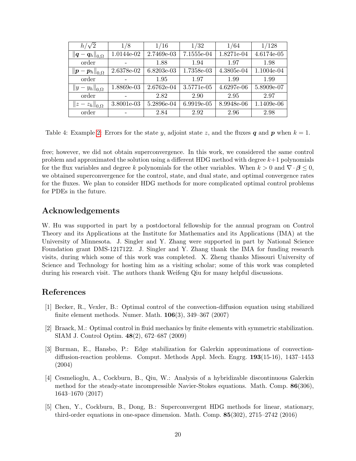| $h/\sqrt{2}$                                                | 1/8        | 1/16       | 1/32       | 1/64       | 1/128      |
|-------------------------------------------------------------|------------|------------|------------|------------|------------|
| $\left\ \boldsymbol{q}-\boldsymbol{q}_h\right\ _{0,\Omega}$ | 1.0144e-02 | 2.7469e-03 | 7.1555e-04 | 1.8271e-04 | 4.6174e-05 |
| order                                                       |            | 1.88       | 1.94       | 1.97       | 1.98       |
| $\left\ \boldsymbol{p}-\boldsymbol{p}_h\right\ _{0,\Omega}$ | 2.6378e-02 | 6.8203e-03 | 1.7358e-03 | 4.3805e-04 | 1.1004e-04 |
| order                                                       |            | 1.95       | 1.97       | 1.99       | 1.99       |
| $  y-y_h  _{0,\Omega}$                                      | 1.8869e-03 | 2.6762e-04 | 3.5771e-05 | 4.6297e-06 | 5.8909e-07 |
| order                                                       |            | 2.82       | 2.90       | 2.95       | 2.97       |
| $  z-z_h  _{0,\Omega}$                                      | 3.8001e-03 | 5.2896e-04 | 6.9919e-05 | 8.9948e-06 | 1.1409e-06 |
| order                                                       |            | 2.84       | 2.92       | 2.96       | 2.98       |

<span id="page-19-3"></span>Table 4: Example [2:](#page-17-2) Errors for the state y, adjoint state z, and the fluxes q and p when  $k = 1$ .

free; however, we did not obtain superconvergence. In this work, we considered the same control problem and approximated the solution using a different HDG method with degree  $k+1$  polynomials for the flux variables and degree k polynomials for the other variables. When  $k > 0$  and  $\nabla \cdot \boldsymbol{\beta} \leq 0$ , we obtained superconvergence for the control, state, and dual state, and optimal convergence rates for the fluxes. We plan to consider HDG methods for more complicated optimal control problems for PDEs in the future.

# Acknowledgements

W. Hu was supported in part by a postdoctoral fellowship for the annual program on Control Theory and its Applications at the Institute for Mathematics and its Applications (IMA) at the University of Minnesota. J. Singler and Y. Zhang were supported in part by National Science Foundation grant DMS-1217122. J. Singler and Y. Zhang thank the IMA for funding research visits, during which some of this work was completed. X. Zheng thanks Missouri University of Science and Technology for hosting him as a visiting scholar; some of this work was completed during his research visit. The authors thank Weifeng Qiu for many helpful discussions.

# References

- <span id="page-19-0"></span>[1] Becker, R., Vexler, B.: Optimal control of the convection-diffusion equation using stabilized finite element methods. Numer. Math. 106(3), 349–367 (2007)
- [2] Braack, M.: Optimal control in fluid mechanics by finite elements with symmetric stabilization. SIAM J. Control Optim. 48(2), 672–687 (2009)
- <span id="page-19-1"></span>[3] Burman, E., Hansbo, P.: Edge stabilization for Galerkin approximations of convectiondiffusion-reaction problems. Comput. Methods Appl. Mech. Engrg. 193(15-16), 1437–1453 (2004)
- <span id="page-19-2"></span>[4] Cesmelioglu, A., Cockburn, B., Qiu, W.: Analysis of a hybridizable discontinuous Galerkin method for the steady-state incompressible Navier-Stokes equations. Math. Comp. 86(306), 1643–1670 (2017)
- [5] Chen, Y., Cockburn, B., Dong, B.: Superconvergent HDG methods for linear, stationary, third-order equations in one-space dimension. Math. Comp. 85(302), 2715–2742 (2016)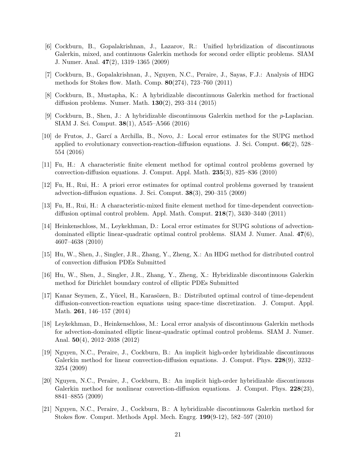- [6] Cockburn, B., Gopalakrishnan, J., Lazarov, R.: Unified hybridization of discontinuous Galerkin, mixed, and continuous Galerkin methods for second order elliptic problems. SIAM J. Numer. Anal. 47(2), 1319–1365 (2009)
- [7] Cockburn, B., Gopalakrishnan, J., Nguyen, N.C., Peraire, J., Sayas, F.J.: Analysis of HDG methods for Stokes flow. Math. Comp. 80(274), 723–760 (2011)
- [8] Cockburn, B., Mustapha, K.: A hybridizable discontinuous Galerkin method for fractional diffusion problems. Numer. Math. 130(2), 293–314 (2015)
- <span id="page-20-7"></span>[9] Cockburn, B., Shen, J.: A hybridizable discontinuous Galerkin method for the p-Laplacian. SIAM J. Sci. Comput. 38(1), A545–A566 (2016)
- <span id="page-20-0"></span>[10] de Frutos, J., Garc´ı a Archilla, B., Novo, J.: Local error estimates for the SUPG method applied to evolutionary convection-reaction-diffusion equations. J. Sci. Comput. 66(2), 528– 554 (2016)
- [11] Fu, H.: A characteristic finite element method for optimal control problems governed by convection-diffusion equations. J. Comput. Appl. Math. 235(3), 825–836 (2010)
- [12] Fu, H., Rui, H.: A priori error estimates for optimal control problems governed by transient advection-diffusion equations. J. Sci. Comput. 38(3), 290–315 (2009)
- <span id="page-20-3"></span>[13] Fu, H., Rui, H.: A characteristic-mixed finite element method for time-dependent convectiondiffusion optimal control problem. Appl. Math. Comput. 218(7), 3430–3440 (2011)
- <span id="page-20-1"></span>[14] Heinkenschloss, M., Leykekhman, D.: Local error estimates for SUPG solutions of advectiondominated elliptic linear-quadratic optimal control problems. SIAM J. Numer. Anal. 47(6), 4607–4638 (2010)
- <span id="page-20-6"></span>[15] Hu, W., Shen, J., Singler, J.R., Zhang, Y., Zheng, X.: An HDG method for distributed control of convection diffusion PDEs Submitted
- <span id="page-20-5"></span>[16] Hu, W., Shen, J., Singler, J.R., Zhang, Y., Zheng, X.: Hybridizable discontinuous Galerkin method for Dirichlet boundary control of elliptic PDEs Submitted
- <span id="page-20-2"></span>[17] Kanar Seymen, Z., Yücel, H., Karasözen, B.: Distributed optimal control of time-dependent diffusion-convection-reaction equations using space-time discretization. J. Comput. Appl. Math. 261, 146–157 (2014)
- <span id="page-20-4"></span>[18] Leykekhman, D., Heinkenschloss, M.: Local error analysis of discontinuous Galerkin methods for advection-dominated elliptic linear-quadratic optimal control problems. SIAM J. Numer. Anal. 50(4), 2012–2038 (2012)
- <span id="page-20-8"></span>[19] Nguyen, N.C., Peraire, J., Cockburn, B.: An implicit high-order hybridizable discontinuous Galerkin method for linear convection-diffusion equations. J. Comput. Phys. 228(9), 3232– 3254 (2009)
- [20] Nguyen, N.C., Peraire, J., Cockburn, B.: An implicit high-order hybridizable discontinuous Galerkin method for nonlinear convection-diffusion equations. J. Comput. Phys. 228(23), 8841–8855 (2009)
- <span id="page-20-9"></span>[21] Nguyen, N.C., Peraire, J., Cockburn, B.: A hybridizable discontinuous Galerkin method for Stokes flow. Comput. Methods Appl. Mech. Engrg. 199(9-12), 582–597 (2010)